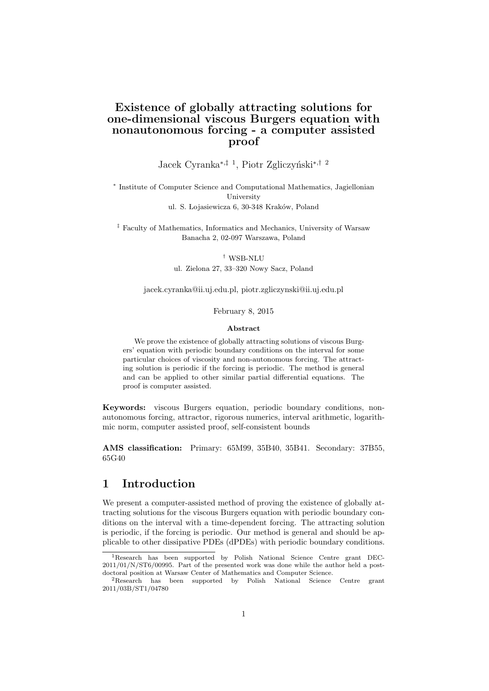## Existence of globally attracting solutions for one-dimensional viscous Burgers equation with nonautonomous forcing - a computer assisted proof

Jacek Cyranka<sup>∗,‡ 1</sup>, Piotr Zgliczyński<sup>∗,† 2</sup>

∗ Institute of Computer Science and Computational Mathematics, Jagiellonian University ul. S. Lojasiewicza 6, 30-348 Kraków, Poland

‡ Faculty of Mathematics, Informatics and Mechanics, University of Warsaw Banacha 2, 02-097 Warszawa, Poland

> † WSB-NLU ul. Zielona 27, 33–320 Nowy Sacz, Poland

jacek.cyranka@ii.uj.edu.pl, piotr.zgliczynski@ii.uj.edu.pl

February 8, 2015

#### Abstract

We prove the existence of globally attracting solutions of viscous Burgers' equation with periodic boundary conditions on the interval for some particular choices of viscosity and non-autonomous forcing. The attracting solution is periodic if the forcing is periodic. The method is general and can be applied to other similar partial differential equations. The proof is computer assisted.

Keywords: viscous Burgers equation, periodic boundary conditions, nonautonomous forcing, attractor, rigorous numerics, interval arithmetic, logarithmic norm, computer assisted proof, self-consistent bounds

AMS classification: Primary: 65M99, 35B40, 35B41. Secondary: 37B55, 65G40

# 1 Introduction

We present a computer-assisted method of proving the existence of globally attracting solutions for the viscous Burgers equation with periodic boundary conditions on the interval with a time-dependent forcing. The attracting solution is periodic, if the forcing is periodic. Our method is general and should be applicable to other dissipative PDEs (dPDEs) with periodic boundary conditions.

<sup>1</sup>Research has been supported by Polish National Science Centre grant DEC-2011/01/N/ST6/00995. Part of the presented work was done while the author held a postdoctoral position at Warsaw Center of Mathematics and Computer Science.

<sup>2</sup>Research has been supported by Polish National Science Centre grant 2011/03B/ST1/04780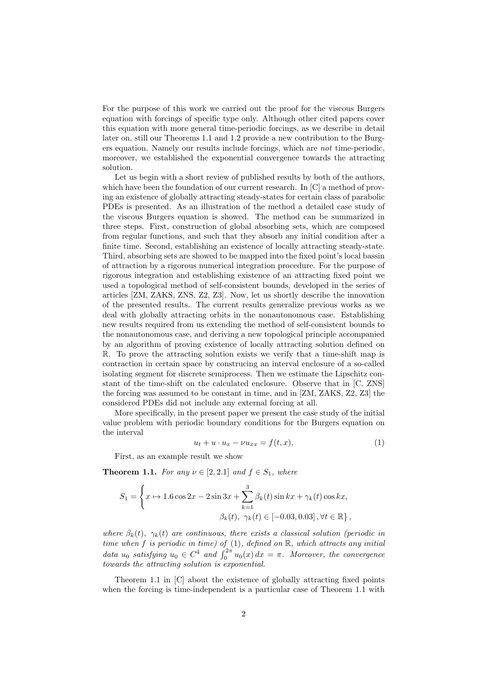For the purpose of this work we carried out the proof for the viscous Burgers equation with forcings of specific type only. Although other cited papers cover this equation with more general time-periodic forcings, as we describe in detail later on, still our Theorems 1.1 and 1.2 provide a new contribution to the Burgers equation. Namely our results include forcings, which are not time-periodic, moreover, we established the exponential convergence towards the attracting solution.

Let us begin with a short review of published results by both of the authors, which have been the foundation of our current research. In [C] a method of proving an existence of globally attracting steady-states for certain class of parabolic PDEs is presented. As an illustration of the method a detailed case study of the viscous Burgers equation is showed. The method can be summarized in three steps. First, construction of global absorbing sets, which are composed from regular functions, and such that they absorb any initial condition after a finite time. Second, establishing an existence of locally attracting steady-state. Third, absorbing sets are showed to be mapped into the fixed point's local bassin of attraction by a rigorous numerical integration procedure. For the purpose of rigorous integration and establishing existence of an attracting fixed point we used a topological method of self-consistent bounds, developed in the series of articles [ZM, ZAKS, ZNS, Z2, Z3]. Now, let us shortly describe the innovation of the presented results. The current results generalize previous works as we deal with globally attracting orbits in the nonautonomous case. Establishing new results required from us extending the method of self-consistent bounds to the nonautonomous case, and deriving a new topological principle accompanied by an algorithm of proving existence of locally attracting solution defined on R. To prove the attracting solution exists we verify that a time-shift map is contraction in certain space by construcing an interval enclosure of a so-called isolating segment for discrete semiprocess. Then we estimate the Lipschitz constant of the time-shift on the calculated enclosure. Observe that in [C, ZNS] the forcing was assumed to be constant in time, and in [ZM, ZAKS, Z2, Z3] the considered PDEs did not include any external forcing at all.

More specifically, in the present paper we present the case study of the initial value problem with periodic boundary conditions for the Burgers equation on the interval

$$
u_t + u \cdot u_x - \nu u_{xx} = f(t, x), \tag{1}
$$

First, as an example result we show

**Theorem 1.1.** For any  $\nu \in [2, 2.1]$  and  $f \in S_1$ , where

$$
S_1 = \left\{ x \mapsto 1.6 \cos 2x - 2 \sin 3x + \sum_{k=1}^3 \beta_k(t) \sin kx + \gamma_k(t) \cos kx, \beta_k(t), \ \gamma_k(t) \in [-0.03, 0.03], \forall t \in \mathbb{R} \right\},\
$$

where  $\beta_k(t)$ ,  $\gamma_k(t)$  are continuous, there exists a classical solution (periodic in time when  $f$  is periodic in time) of  $(1)$ , defined on  $\mathbb{R}$ , which attracts any initial data  $u_0$  satisfying  $u_0 \in C^4$  and  $\int_0^{2\pi} u_0(x) dx = \pi$ . Moreover, the convergence towards the attracting solution is exponential.

Theorem 1.1 in [C] about the existence of globally attracting fixed points when the forcing is time-independent is a particular case of Theorem 1.1 with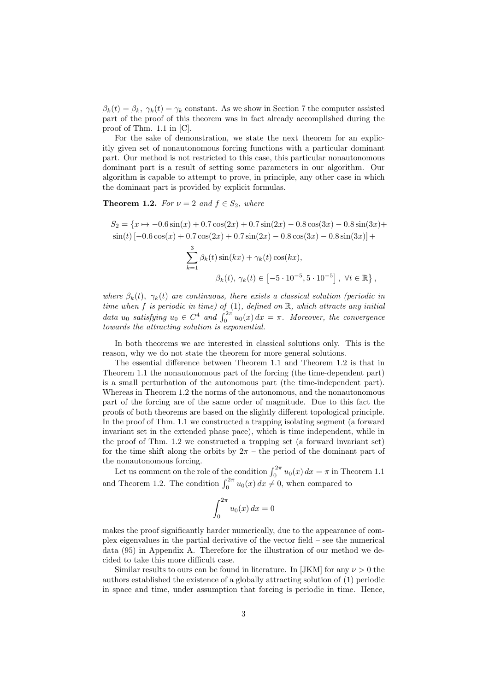$\beta_k(t) = \beta_k$ ,  $\gamma_k(t) = \gamma_k$  constant. As we show in Section 7 the computer assisted part of the proof of this theorem was in fact already accomplished during the proof of Thm. 1.1 in [C].

For the sake of demonstration, we state the next theorem for an explicitly given set of nonautonomous forcing functions with a particular dominant part. Our method is not restricted to this case, this particular nonautonomous dominant part is a result of setting some parameters in our algorithm. Our algorithm is capable to attempt to prove, in principle, any other case in which the dominant part is provided by explicit formulas.

**Theorem 1.2.** For  $\nu = 2$  and  $f \in S_2$ , where

$$
S_2 = \{x \mapsto -0.6\sin(x) + 0.7\cos(2x) + 0.7\sin(2x) - 0.8\cos(3x) - 0.8\sin(3x) + \sin(t)\left[-0.6\cos(x) + 0.7\cos(2x) + 0.7\sin(2x) - 0.8\cos(3x) - 0.8\sin(3x)\right] + \frac{3}{k-1}\beta_k(t)\sin(kx) + \gamma_k(t)\cos(kx),
$$
  

$$
\beta_k(t), \gamma_k(t) \in \left[-5 \cdot 10^{-5}, 5 \cdot 10^{-5}\right], \forall t \in \mathbb{R}\},
$$

where  $\beta_k(t)$ ,  $\gamma_k(t)$  are continuous, there exists a classical solution (periodic in time when  $f$  is periodic in time) of  $(1)$ , defined on  $\mathbb{R}$ , which attracts any initial data  $u_0$  satisfying  $u_0 \in C^4$  and  $\int_0^{2\pi} u_0(x) dx = \pi$ . Moreover, the convergence towards the attracting solution is exponential.

In both theorems we are interested in classical solutions only. This is the reason, why we do not state the theorem for more general solutions.

The essential difference between Theorem 1.1 and Theorem 1.2 is that in Theorem 1.1 the nonautonomous part of the forcing (the time-dependent part) is a small perturbation of the autonomous part (the time-independent part). Whereas in Theorem 1.2 the norms of the autonomous, and the nonautonomous part of the forcing are of the same order of magnitude. Due to this fact the proofs of both theorems are based on the slightly different topological principle. In the proof of Thm. 1.1 we constructed a trapping isolating segment (a forward invariant set in the extended phase pace), which is time independent, while in the proof of Thm. 1.2 we constructed a trapping set (a forward invariant set) for the time shift along the orbits by  $2\pi$  – the period of the dominant part of the nonautonomous forcing.

Let us comment on the role of the condition  $\int_0^{2\pi} u_0(x) dx = \pi$  in Theorem 1.1 and Theorem 1.2. The condition  $\int_0^{2\pi} u_0(x) dx \neq 0$ , when compared to

$$
\int_0^{2\pi} u_0(x) dx = 0
$$

makes the proof significantly harder numerically, due to the appearance of complex eigenvalues in the partial derivative of the vector field – see the numerical data (95) in Appendix A. Therefore for the illustration of our method we decided to take this more difficult case.

Similar results to ours can be found in literature. In [JKM] for any  $\nu > 0$  the authors established the existence of a globally attracting solution of (1) periodic in space and time, under assumption that forcing is periodic in time. Hence,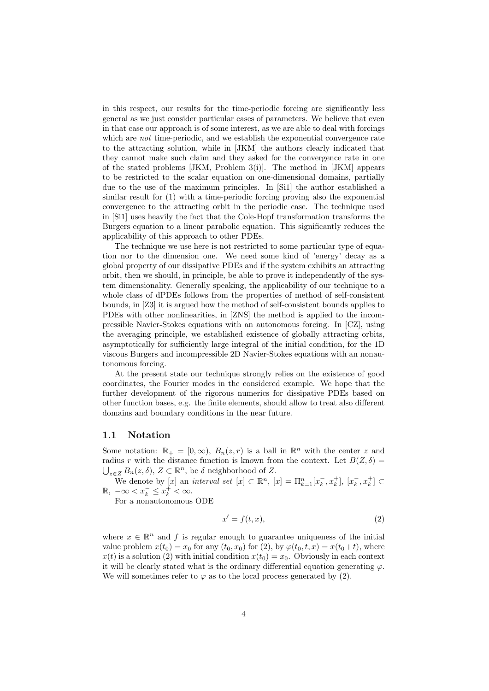in this respect, our results for the time-periodic forcing are significantly less general as we just consider particular cases of parameters. We believe that even in that case our approach is of some interest, as we are able to deal with forcings which are *not* time-periodic, and we establish the exponential convergence rate to the attracting solution, while in [JKM] the authors clearly indicated that they cannot make such claim and they asked for the convergence rate in one of the stated problems  $[JKM, Problem 3(i)]$ . The method in  $[JKM]$  appears to be restricted to the scalar equation on one-dimensional domains, partially due to the use of the maximum principles. In [Si1] the author established a similar result for (1) with a time-periodic forcing proving also the exponential convergence to the attracting orbit in the periodic case. The technique used in [Si1] uses heavily the fact that the Cole-Hopf transformation transforms the Burgers equation to a linear parabolic equation. This significantly reduces the applicability of this approach to other PDEs.

The technique we use here is not restricted to some particular type of equation nor to the dimension one. We need some kind of 'energy' decay as a global property of our dissipative PDEs and if the system exhibits an attracting orbit, then we should, in principle, be able to prove it independently of the system dimensionality. Generally speaking, the applicability of our technique to a whole class of dPDEs follows from the properties of method of self-consistent bounds, in [Z3] it is argued how the method of self-consistent bounds applies to PDEs with other nonlinearities, in [ZNS] the method is applied to the incompressible Navier-Stokes equations with an autonomous forcing. In [CZ], using the averaging principle, we established existence of globally attracting orbits, asymptotically for sufficiently large integral of the initial condition, for the 1D viscous Burgers and incompressible 2D Navier-Stokes equations with an nonautonomous forcing.

At the present state our technique strongly relies on the existence of good coordinates, the Fourier modes in the considered example. We hope that the further development of the rigorous numerics for dissipative PDEs based on other function bases, e.g. the finite elements, should allow to treat also different domains and boundary conditions in the near future.

### 1.1 Notation

Some notation:  $\mathbb{R}_+ = [0, \infty)$ ,  $B_n(z,r)$  is a ball in  $\mathbb{R}^n$  with the center z and radius r with the distance function is known from the context. Let  $B(Z,\delta)$  $\bigcup_{z\in Z} B_n(z,\delta),\, Z\subset \mathbb{R}^n$ , be  $\delta$  neighborhood of Z.

We denote by  $[x]$  an *interval set*  $[x] \subset \mathbb{R}^n$ ,  $[x] = \prod_{k=1}^n [x_k^-, x_k^+]$ ,  $[x_k^-, x_k^+] \subset$  $\mathbb{R}, -\infty < x_k^- \leq x_k^+ < \infty.$ 

For a nonautonomous ODE

$$
x' = f(t, x),\tag{2}
$$

where  $x \in \mathbb{R}^n$  and f is regular enough to guarantee uniqueness of the initial value problem  $x(t_0) = x_0$  for any  $(t_0, x_0)$  for (2), by  $\varphi(t_0, t, x) = x(t_0 + t)$ , where  $x(t)$  is a solution (2) with initial condition  $x(t_0) = x_0$ . Obviously in each context it will be clearly stated what is the ordinary differential equation generating  $\varphi$ . We will sometimes refer to  $\varphi$  as to the local process generated by (2).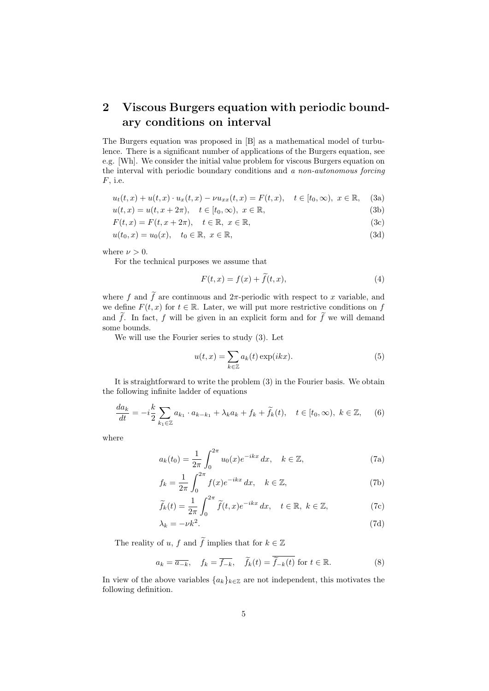# 2 Viscous Burgers equation with periodic boundary conditions on interval

The Burgers equation was proposed in [B] as a mathematical model of turbulence. There is a significant number of applications of the Burgers equation, see e.g. [Wh]. We consider the initial value problem for viscous Burgers equation on the interval with periodic boundary conditions and a non-autonomous forcing  $F$ , i.e.

$$
u_t(t, x) + u(t, x) \cdot u_x(t, x) - \nu u_{xx}(t, x) = F(t, x), \quad t \in [t_0, \infty), \ x \in \mathbb{R}, \tag{3a}
$$
  

$$
u(t, x) = u(t, x + 2\pi), \quad t \in [t_0, \infty), \ x \in \mathbb{R}.
$$

$$
F(t, x) = F(t, x + 2\pi), \quad t \in \mathbb{R}, \quad x \in \mathbb{R}, \tag{3c}
$$

$$
u(t_0, x) = u_0(x), \quad t_0 \in \mathbb{R}, \ x \in \mathbb{R}, \tag{3d}
$$

$$
f_{\rm{max}}(x)=\frac{1}{2}x
$$

where  $\nu > 0$ .

For the technical purposes we assume that

$$
F(t, x) = f(x) + f(t, x),
$$
\n(4)

where f and f are continuous and  $2\pi$ -periodic with respect to x variable, and we define  $F(t, x)$  for  $t \in \mathbb{R}$ . Later, we will put more restrictive conditions on f and  $\tilde{f}$ . In fact, f will be given in an explicit form and for  $\tilde{f}$  we will demand some bounds.

We will use the Fourier series to study (3). Let

$$
u(t,x) = \sum_{k \in \mathbb{Z}} a_k(t) \exp(ikx).
$$
 (5)

It is straightforward to write the problem (3) in the Fourier basis. We obtain the following infinite ladder of equations

$$
\frac{da_k}{dt} = -i\frac{k}{2} \sum_{k_1 \in \mathbb{Z}} a_{k_1} \cdot a_{k-k_1} + \lambda_k a_k + f_k + \widetilde{f}_k(t), \quad t \in [t_0, \infty), \ k \in \mathbb{Z}, \tag{6}
$$

where

$$
a_k(t_0) = \frac{1}{2\pi} \int_0^{2\pi} u_0(x) e^{-ikx} dx, \quad k \in \mathbb{Z},
$$
 (7a)

$$
f_k = \frac{1}{2\pi} \int_0^{2\pi} f(x)e^{-ikx} dx, \quad k \in \mathbb{Z},
$$
 (7b)

$$
\widetilde{f}_k(t) = \frac{1}{2\pi} \int_0^{2\pi} \widetilde{f}(t, x) e^{-ikx} dx, \quad t \in \mathbb{R}, \ k \in \mathbb{Z}, \tag{7c}
$$

$$
\lambda_k = -\nu k^2. \tag{7d}
$$

The reality of  $u, \, f$  and  $\widetilde{f}$  implies that for  $k \in \mathbb{Z}$ 

$$
a_k = \overline{a_{-k}}, \quad f_k = \overline{f_{-k}}, \quad \widetilde{f}_k(t) = \overline{\widetilde{f}_{-k}(t)}
$$
 for  $t \in \mathbb{R}$ . (8)

In view of the above variables  $\{a_k\}_{k\in\mathbb{Z}}$  are not independent, this motivates the following definition.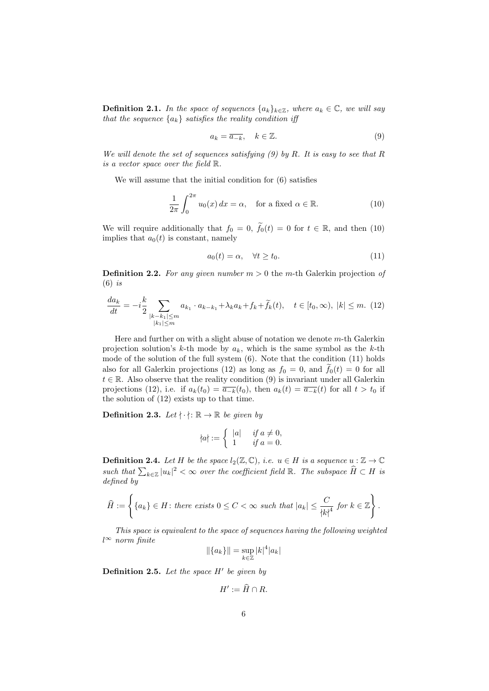**Definition 2.1.** In the space of sequences  $\{a_k\}_{k\in\mathbb{Z}}$ , where  $a_k \in \mathbb{C}$ , we will say that the sequence  ${a_k}$  satisfies the reality condition iff

$$
a_k = \overline{a_{-k}}, \quad k \in \mathbb{Z}.\tag{9}
$$

We will denote the set of sequences satisfying  $(9)$  by R. It is easy to see that R is a vector space over the field R.

We will assume that the initial condition for (6) satisfies

$$
\frac{1}{2\pi} \int_0^{2\pi} u_0(x) dx = \alpha, \quad \text{for a fixed } \alpha \in \mathbb{R}.
$$
 (10)

We will require additionally that  $f_0 = 0$ ,  $\tilde{f}_0(t) = 0$  for  $t \in \mathbb{R}$ , and then (10) implies that  $a_0(t)$  is constant, namely

$$
a_0(t) = \alpha, \quad \forall t \ge t_0. \tag{11}
$$

**Definition 2.2.** For any given number  $m > 0$  the m-th Galerkin projection of  $(6)$  is

$$
\frac{da_k}{dt} = -i\frac{k}{2} \sum_{\substack{|k-k_1| \le m \\ |k_1| \le m}} a_{k_1} \cdot a_{k-k_1} + \lambda_k a_k + f_k + \widetilde{f}_k(t), \quad t \in [t_0, \infty), \ |k| \le m. \tag{12}
$$

Here and further on with a slight abuse of notation we denote  $m$ -th Galerkin projection solution's k-th mode by  $a_k$ , which is the same symbol as the k-th mode of the solution of the full system (6). Note that the condition (11) holds also for all Galerkin projections (12) as long as  $f_0 = 0$ , and  $\tilde{f}_0(t) = 0$  for all  $t \in \mathbb{R}$ . Also observe that the reality condition (9) is invariant under all Galerkin projections (12), i.e. if  $a_k(t_0) = \overline{a_{-k}}(t_0)$ , then  $a_k(t) = \overline{a_{-k}}(t)$  for all  $t > t_0$  if the solution of (12) exists up to that time.

**Definition 2.3.** Let  $\{\cdot\}$ :  $\mathbb{R} \to \mathbb{R}$  be given by

$$
\{a\} := \begin{cases} |a| & \text{if } a \neq 0, \\ 1 & \text{if } a = 0. \end{cases}
$$

**Definition 2.4.** Let H be the space  $l_2(\mathbb{Z}, \mathbb{C})$ , i.e.  $u \in H$  is a sequence  $u : \mathbb{Z} \to \mathbb{C}$ such that  $\sum_{k\in\mathbb{Z}}|u_k|^2<\infty$  over the coefficient field  $\mathbb{R}$ . The subspace  $\widehat{H}\subset H$  is defined by

$$
\widehat{H} := \left\{ \{a_k\} \in H \colon \text{there exists } 0 \leq C < \infty \text{ such that } |a_k| \leq \frac{C}{|k|^4} \text{ for } k \in \mathbb{Z} \right\}.
$$

This space is equivalent to the space of sequences having the following weighted  $l<sup>∞</sup>$  norm finite

$$
\|\{a_k\}\| = \sup_{k \in \mathbb{Z}} |k|^4 |a_k|
$$

**Definition 2.5.** Let the space  $H'$  be given by

$$
H':=\widehat{H}\cap R.
$$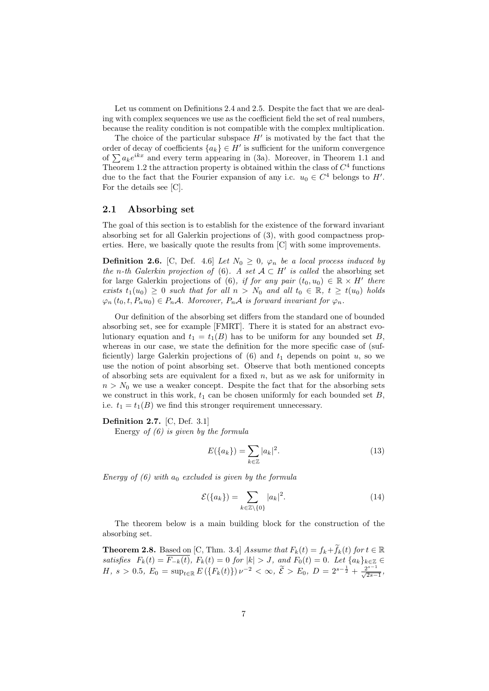Let us comment on Definitions 2.4 and 2.5. Despite the fact that we are dealing with complex sequences we use as the coefficient field the set of real numbers, because the reality condition is not compatible with the complex multiplication.

The choice of the particular subspace  $H'$  is motivated by the fact that the order of decay of coefficients  ${a_k} \in H'$  is sufficient for the uniform convergence of  $\sum a_k e^{ikx}$  and every term appearing in (3a). Moreover, in Theorem 1.1 and Theorem 1.2 the attraction property is obtained within the class of  $C<sup>4</sup>$  functions due to the fact that the Fourier expansion of any i.c.  $u_0 \in C^4$  belongs to H'. For the details see [C].

### 2.1 Absorbing set

The goal of this section is to establish for the existence of the forward invariant absorbing set for all Galerkin projections of (3), with good compactness properties. Here, we basically quote the results from [C] with some improvements.

**Definition 2.6.** [C, Def. 4.6] Let  $N_0 \geq 0$ ,  $\varphi_n$  be a local process induced by the n-th Galerkin projection of (6). A set  $A \subset H'$  is called the absorbing set for large Galerkin projections of (6), if for any pair  $(t_0, u_0) \in \mathbb{R} \times H'$  there exists  $t_1(u_0) \geq 0$  such that for all  $n > N_0$  and all  $t_0 \in \mathbb{R}$ ,  $t \geq t(u_0)$  holds  $\varphi_n(t_0, t, P_nu_0) \in P_n\mathcal{A}$ . Moreover,  $P_n\mathcal{A}$  is forward invariant for  $\varphi_n$ .

Our definition of the absorbing set differs from the standard one of bounded absorbing set, see for example [FMRT]. There it is stated for an abstract evolutionary equation and  $t_1 = t_1(B)$  has to be uniform for any bounded set B, whereas in our case, we state the definition for the more specific case of (sufficiently) large Galerkin projections of  $(6)$  and  $t_1$  depends on point u, so we use the notion of point absorbing set. Observe that both mentioned concepts of absorbing sets are equivalent for a fixed  $n$ , but as we ask for uniformity in  $n > N_0$  we use a weaker concept. Despite the fact that for the absorbing sets we construct in this work,  $t_1$  can be chosen uniformly for each bounded set  $B$ , i.e.  $t_1 = t_1(B)$  we find this stronger requirement unnecessary.

#### Definition 2.7. [C, Def. 3.1]

Energy of  $(6)$  is given by the formula

$$
E({a_k}) = \sum_{k \in \mathbb{Z}} |a_k|^2.
$$
 (13)

Energy of  $(6)$  with  $a_0$  excluded is given by the formula

$$
\mathcal{E}(\{a_k\}) = \sum_{k \in \mathbb{Z} \setminus \{0\}} |a_k|^2. \tag{14}
$$

The theorem below is a main building block for the construction of the absorbing set.

**Theorem 2.8.** Based on [C, Thm. 3.4] Assume that  $F_k(t) = f_k + \widetilde{f}_k(t)$  for  $t \in \mathbb{R}$ satisfies  $F_k(t) = F_{-k}(t)$ ,  $F_k(t) = 0$  for  $|k| > J$ , and  $F_0(t) = 0$ . Let  $\{a_k\}_{k \in \mathbb{Z}}$  ∈ H,  $s > 0.5$ ,  $E_0 = \sup_{t \in \mathbb{R}} E(\lbrace F_k(t) \rbrace) \nu^{-2} < \infty$ ,  $\widetilde{\mathcal{E}} > E_0$ ,  $D = 2^{s - \frac{1}{2}} + \frac{2^{s - 1}}{\sqrt{2s - 1}},$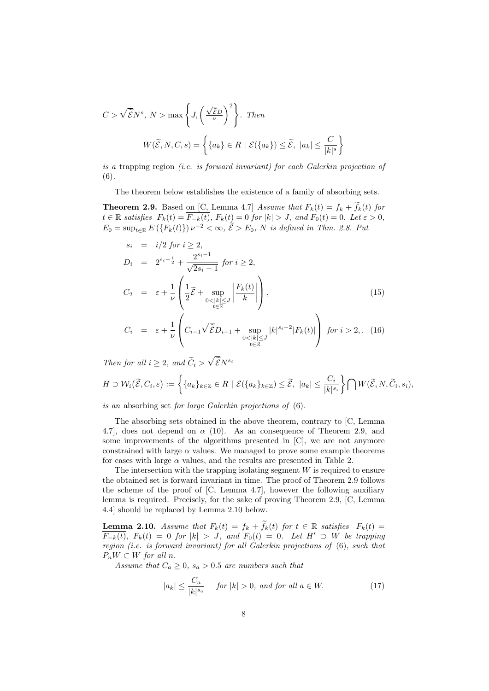$$
C > \sqrt{\tilde{\mathcal{E}}N^s}, N > \max\left\{J, \left(\frac{\sqrt{\tilde{\mathcal{E}}D}}{\nu}\right)^2\right\}. \text{ Then}
$$

$$
W(\tilde{\mathcal{E}}, N, C, s) = \left\{\{a_k\} \in R \mid \mathcal{E}(\{a_k\}) \le \tilde{\mathcal{E}}, |a_k| \le \frac{C}{|k|^s}\right\}
$$

is a trapping region (i.e. is forward invariant) for each Galerkin projection of (6).

The theorem below establishes the existence of a family of absorbing sets.

**Theorem 2.9.** Based on [C, Lemma 4.7] Assume that  $F_k(t) = f_k + f_k(t)$  for  $t \in \mathbb{R}$  satisfies  $F_k(t) = \overline{F_{-k}(t)}$ ,  $F_k(t) = 0$  for  $|k| > J$ , and  $F_0(t) = 0$ . Let  $\varepsilon > 0$ ,  $E_0 = \sup_{t \in \mathbb{R}} E(\lbrace F_k(t) \rbrace) \nu^{-2} < \infty, \, \tilde{\mathcal{E}} > E_0, N \text{ is defined in Thm. 2.8. Put}$ 

$$
s_{i} = i/2 \text{ for } i \geq 2,
$$
  
\n
$$
D_{i} = 2^{s_{i} - \frac{1}{2}} + \frac{2^{s_{i} - 1}}{\sqrt{2s_{i} - 1}} \text{ for } i \geq 2,
$$
  
\n
$$
C_{2} = \varepsilon + \frac{1}{\nu} \left( \frac{1}{2} \tilde{\mathcal{E}} + \sup_{0 < |k| \leq J} \left| \frac{F_{k}(t)}{k} \right| \right),
$$
  
\n
$$
C_{i} = \varepsilon + \frac{1}{\nu} \left( C_{i-1} \sqrt{\tilde{\mathcal{E}}} D_{i-1} + \sup_{0 < |k| \leq J} |k|^{s_{i} - 2} |F_{k}(t)| \right) \text{ for } i > 2, . \tag{16}
$$

Then for all  $i \geq 2$ , and  $\widetilde{C}_i > \sqrt{\widetilde{\mathcal{E}} N^{s_i}}$ 

$$
H \supset \mathcal{W}_i\big(\widetilde{\mathcal{E}}, C_i, \varepsilon\big) := \left\{ \{a_k\}_{k \in \mathbb{Z}} \in R \mid \mathcal{E}(\{a_k\}_{k \in \mathbb{Z}}) \leq \widetilde{\mathcal{E}}, \ |a_k| \leq \frac{C_i}{|k|^{s_i}} \right\} \bigcap W(\widetilde{\mathcal{E}}, N, \widetilde{C}_i, s_i),
$$

is an absorbing set for large Galerkin projections of (6).

The absorbing sets obtained in the above theorem, contrary to [C, Lemma 4.7], does not depend on  $\alpha$  (10). As an consequence of Theorem 2.9, and some improvements of the algorithms presented in [C], we are not anymore constrained with large  $\alpha$  values. We managed to prove some example theorems for cases with large  $\alpha$  values, and the results are presented in Table 2.

The intersection with the trapping isolating segment  $W$  is required to ensure the obtained set is forward invariant in time. The proof of Theorem 2.9 follows the scheme of the proof of [C, Lemma 4.7], however the following auxiliary lemma is required. Precisely, for the sake of proving Theorem 2.9, [C, Lemma 4.4] should be replaced by Lemma 2.10 below.

**Lemma 2.10.** Assume that  $F_k(t) = f_k + \tilde{f}_k(t)$  for  $t \in \mathbb{R}$  satisfies  $F_k(t) =$  $\overline{F_{-k}(t)}$ ,  $F_k(t) = 0$  for  $|k| > J$ , and  $F_0(t) = 0$ . Let  $H' \supset W$  be trapping region (i.e. is forward invariant) for all Galerkin projections of (6), such that  $P_nW \subset W$  for all n.

Assume that  $C_a \geq 0$ ,  $s_a > 0.5$  are numbers such that

$$
|a_k| \le \frac{C_a}{|k|^{s_a}} \quad \text{ for } |k| > 0, \text{ and for all } a \in W. \tag{17}
$$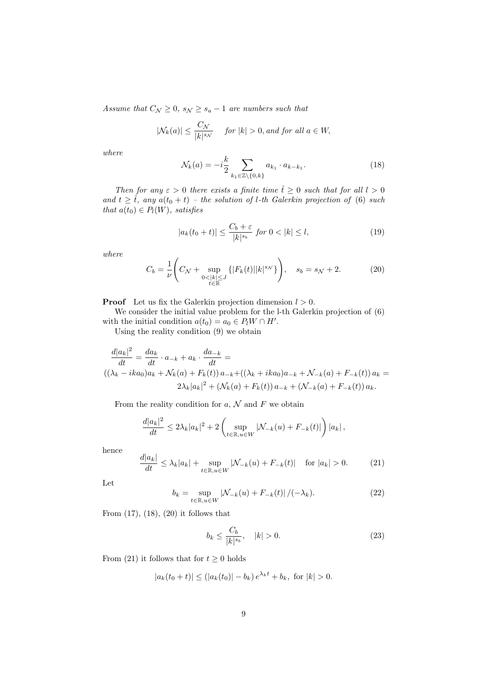Assume that  $C_{\mathcal{N}} \geq 0$ ,  $s_{\mathcal{N}} \geq s_a - 1$  are numbers such that

$$
|\mathcal{N}_k(a)| \le \frac{C_{\mathcal{N}}}{|k|^{s_{\mathcal{N}}}} \quad \text{ for } |k| > 0 \text{, and for all } a \in W,
$$

where

$$
\mathcal{N}_k(a) = -i\frac{k}{2} \sum_{k_1 \in \mathbb{Z} \setminus \{0, k\}} a_{k_1} \cdot a_{k - k_1}.
$$
\n(18)

Then for any  $\varepsilon > 0$  there exists a finite time  $\hat{t} \geq 0$  such that for all  $l > 0$ and  $t \geq \tilde{t}$ , any  $a(t_0 + t)$  – the solution of l-th Galerkin projection of (6) such that  $a(t_0) \in P_l(W)$ , satisfies

$$
|a_k(t_0+t)| \le \frac{C_b+\varepsilon}{|k|^{s_b}} \text{ for } 0 < |k| \le l,
$$
 (19)

where

$$
C_b = \frac{1}{\nu} \left( C_{\mathcal{N}} + \sup_{\substack{0 < |k| \le J \\ t \in \mathbb{R}}} \left\{ |F_k(t)| |k|^{s_{\mathcal{N}}} \right\} \right), \quad s_b = s_{\mathcal{N}} + 2. \tag{20}
$$

**Proof** Let us fix the Galerkin projection dimension  $l > 0$ .

We consider the initial value problem for the l-th Galerkin projection of (6) with the initial condition  $a(t_0) = a_0 \in P_l W \cap H'$ .

Using the reality condition (9) we obtain

$$
\frac{d|a_k|^2}{dt} = \frac{da_k}{dt} \cdot a_{-k} + a_k \cdot \frac{da_{-k}}{dt} =
$$
\n
$$
((\lambda_k - ika_0)a_k + \mathcal{N}_k(a) + F_k(t)) a_{-k} + ((\lambda_k + ika_0)a_{-k} + \mathcal{N}_{-k}(a) + F_{-k}(t)) a_k =
$$
\n
$$
2\lambda_k|a_k|^2 + (\mathcal{N}_k(a) + F_k(t)) a_{-k} + (\mathcal{N}_{-k}(a) + F_{-k}(t)) a_k.
$$

From the reality condition for  $a, N$  and F we obtain

$$
\frac{d|a_k|^2}{dt} \le 2\lambda_k |a_k|^2 + 2 \left( \sup_{t \in \mathbb{R}, u \in W} |\mathcal{N}_{-k}(u) + F_{-k}(t)| \right) |a_k|,
$$

hence

$$
\frac{d|a_k|}{dt} \le \lambda_k |a_k| + \sup_{t \in \mathbb{R}, u \in W} |\mathcal{N}_{-k}(u) + F_{-k}(t)| \quad \text{for } |a_k| > 0. \tag{21}
$$

Let

$$
b_k = \sup_{t \in \mathbb{R}, u \in W} \left| \mathcal{N}_{-k}(u) + F_{-k}(t) \right| / (-\lambda_k). \tag{22}
$$

From  $(17)$ ,  $(18)$ ,  $(20)$  it follows that

$$
b_k \le \frac{C_b}{|k|^{s_b}}, \quad |k| > 0. \tag{23}
$$

From (21) it follows that for  $t \geq 0$  holds

$$
|a_k(t_0 + t)| \le (|a_k(t_0)| - b_k) e^{\lambda_k t} + b_k, \text{ for } |k| > 0.
$$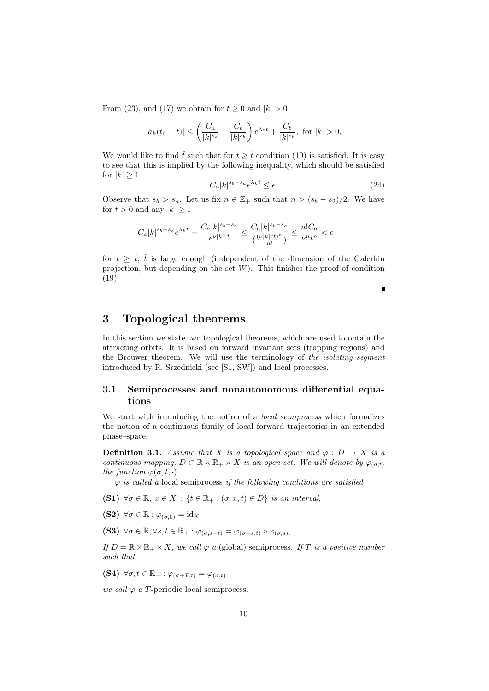From (23), and (17) we obtain for  $t \geq 0$  and  $|k| > 0$ 

$$
|a_k(t_0+t)| \le \left(\frac{C_a}{|k|^{s_a}} - \frac{C_b}{|k|^{s_b}}\right) e^{\lambda_k t} + \frac{C_b}{|k|^{s_b}}, \text{ for } |k| > 0,
$$

We would like to find  $\hat{t}$  such that for  $t \geq \hat{t}$  condition (19) is satisfied. It is easy to see that this is implied by the following inequality, which should be satisfied for  $|k| \geq 1$ 

$$
C_a |k|^{s_b - s_a} e^{\lambda_k t} \le \epsilon.
$$
\n(24)

Observe that  $s_b > s_a$ . Let us fix  $n \in \mathbb{Z}_+$  such that  $n > (s_b - s_2)/2$ . We have for  $t > 0$  and any  $|k| \geq 1$ 

$$
C_a |k|^{s_b-s_a} e^{\lambda_k t} = \frac{C_a |k|^{s_b-s_a}}{e^{\nu |k|^2 t}} \leq \frac{C_a |k|^{s_b-s_a}}{\binom{(\nu |k|^2 t)^n}{n!}} \leq \frac{n! C_a}{\nu^n t^n} < \epsilon
$$

for  $t \geq \hat{t}$ ,  $\hat{t}$  is large enough (independent of the dimension of the Galerkin projection, but depending on the set  $W$ ). This finishes the proof of condition (19).

Г

## 3 Topological theorems

In this section we state two topological theorems, which are used to obtain the attracting orbits. It is based on forward invariant sets (trapping regions) and the Brouwer theorem. We will use the terminology of the *isolating segment* introduced by R. Srzednicki (see [S1, SW]) and local processes.

### 3.1 Semiprocesses and nonautonomous differential equations

We start with introducing the notion of a *local semiprocess* which formalizes the notion of a continuous family of local forward trajectories in an extended phase–space.

**Definition 3.1.** Assume that X is a topological space and  $\varphi : D \to X$  is a continuous mapping,  $D \subset \mathbb{R} \times \mathbb{R}_+ \times X$  is an open set. We will denote by  $\varphi_{(\sigma,t)}$ the function  $\varphi(\sigma, t, \cdot)$ .

 $\varphi$  is called a local semiprocess if the following conditions are satisfied

- (S1)  $\forall \sigma \in \mathbb{R}, x \in X : \{t \in \mathbb{R}_+ : (\sigma, x, t) \in D\}$  is an interval,
- (S2)  $\forall \sigma \in \mathbb{R} : \varphi_{(\sigma,0)} = \mathrm{id}_X$
- (S3)  $\forall \sigma \in \mathbb{R}, \forall s,t \in \mathbb{R}_+ : \varphi_{(\sigma,s+t)} = \varphi_{(\sigma+s,t)} \circ \varphi_{(\sigma,s)},$

If  $D = \mathbb{R} \times \mathbb{R}_+ \times X$ , we call  $\varphi$  a (global) semiprocess. If T is a positive number such that

(S4)  $\forall \sigma, t \in \mathbb{R}_+ : \varphi_{(\sigma+T,t)} = \varphi_{(\sigma,t)}$ 

we call  $\varphi$  a T-periodic local semiprocess.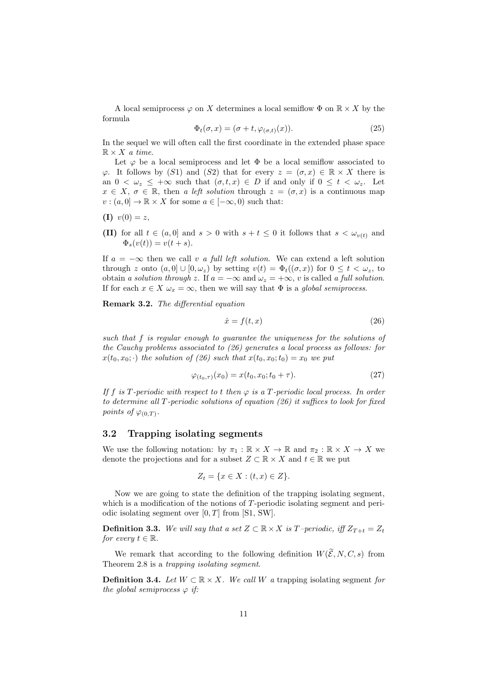A local semiprocess  $\varphi$  on X determines a local semiflow  $\Phi$  on  $\mathbb{R} \times X$  by the formula

$$
\Phi_t(\sigma, x) = (\sigma + t, \varphi_{(\sigma, t)}(x)). \tag{25}
$$

In the sequel we will often call the first coordinate in the extended phase space  $\mathbb{R} \times X$  a time.

Let  $\varphi$  be a local semiprocess and let  $\Phi$  be a local semiflow associated to  $\varphi$ . It follows by (S1) and (S2) that for every  $z = (\sigma, x) \in \mathbb{R} \times X$  there is an  $0 < \omega_z \leq +\infty$  such that  $(\sigma, t, x) \in D$  if and only if  $0 \leq t < \omega_z$ . Let  $x \in X$ ,  $\sigma \in \mathbb{R}$ , then a left solution through  $z = (\sigma, x)$  is a continuous map  $v : (a, 0] \to \mathbb{R} \times X$  for some  $a \in [-\infty, 0)$  such that:

$$
(I) v(0) = z,
$$

(II) for all  $t \in (a, 0]$  and  $s > 0$  with  $s + t \leq 0$  it follows that  $s < \omega_{v(t)}$  and  $\Phi_s(v(t)) = v(t+s).$ 

If  $a = -\infty$  then we call v a full left solution. We can extend a left solution through z onto  $(a, 0] \cup [0, \omega_z)$  by setting  $v(t) = \Phi_t((\sigma, x))$  for  $0 \le t < \omega_z$ , to obtain a solution through z. If  $a = -\infty$  and  $\omega_z = +\infty$ , v is called a full solution. If for each  $x \in X \omega_x = \infty$ , then we will say that  $\Phi$  is a global semiprocess.

Remark 3.2. The differential equation

$$
\dot{x} = f(t, x) \tag{26}
$$

such that f is regular enough to guarantee the uniqueness for the solutions of the Cauchy problems associated to (26) generates a local process as follows: for  $x(t_0, x_0; \cdot)$  the solution of (26) such that  $x(t_0, x_0; t_0) = x_0$  we put

$$
\varphi_{(t_0,\tau)}(x_0) = x(t_0, x_0; t_0 + \tau). \tag{27}
$$

If f is T-periodic with respect to t then  $\varphi$  is a T-periodic local process. In order to determine all T-periodic solutions of equation (26) it suffices to look for fixed points of  $\varphi_{(0,T)}$ .

### 3.2 Trapping isolating segments

We use the following notation: by  $\pi_1 : \mathbb{R} \times X \to \mathbb{R}$  and  $\pi_2 : \mathbb{R} \times X \to X$  we denote the projections and for a subset  $Z \subset \mathbb{R} \times X$  and  $t \in \mathbb{R}$  we put

$$
Z_t = \{x \in X : (t, x) \in Z\}.
$$

Now we are going to state the definition of the trapping isolating segment, which is a modification of the notions of T-periodic isolating segment and periodic isolating segment over  $[0, T]$  from  $[S1, SW]$ .

**Definition 3.3.** We will say that a set  $Z \subset \mathbb{R} \times X$  is T–periodic, iff  $Z_{T+t} = Z_t$ for every  $t \in \mathbb{R}$ .

We remark that according to the following definition  $W(\widetilde{\mathcal{E}}, N, C, s)$  from Theorem 2.8 is a trapping isolating segment.

**Definition 3.4.** Let  $W \subset \mathbb{R} \times X$ . We call W a trapping isolating segment for the global semiprocess  $\varphi$  if: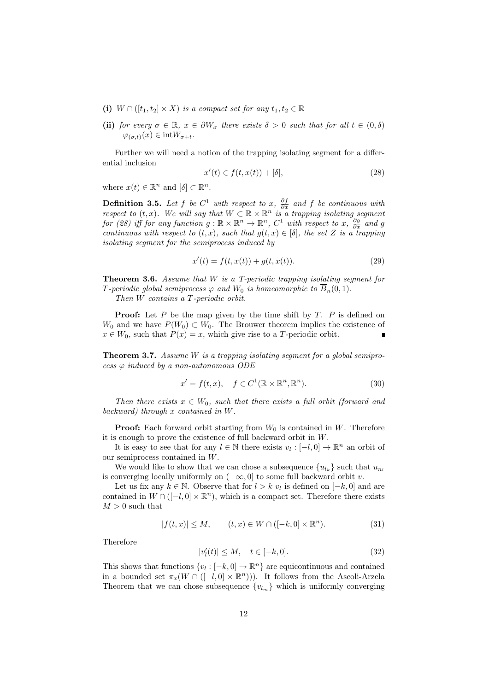- (i)  $W \cap ([t_1, t_2] \times X)$  is a compact set for any  $t_1, t_2 \in \mathbb{R}$
- (ii) for every  $\sigma \in \mathbb{R}$ ,  $x \in \partial W_{\sigma}$  there exists  $\delta > 0$  such that for all  $t \in (0, \delta)$  $\varphi_{(\sigma,t)}(x) \in \text{int}W_{\sigma+t}.$

Further we will need a notion of the trapping isolating segment for a differential inclusion

$$
x'(t) \in f(t, x(t)) + [\delta], \tag{28}
$$

where  $x(t) \in \mathbb{R}^n$  and  $[\delta] \subset \mathbb{R}^n$ .

**Definition 3.5.** Let f be  $C^1$  with respect to x,  $\frac{\partial f}{\partial x}$  and f be continuous with respect to  $(t, x)$ . We will say that  $W \subset \mathbb{R} \times \mathbb{R}^n$  is a trapping isolating segment for (28) iff for any function  $g : \mathbb{R} \times \mathbb{R}^n \to \mathbb{R}^n$ ,  $C^1$  with respect to x,  $\frac{\partial g}{\partial x}$  and g continuous with respect to  $(t, x)$ , such that  $g(t, x) \in [\delta]$ , the set Z is a trapping isolating segment for the semiprocess induced by

$$
x'(t) = f(t, x(t)) + g(t, x(t)).
$$
\n(29)

**Theorem 3.6.** Assume that  $W$  is a T-periodic trapping isolating segment for T-periodic global semiprocess  $\varphi$  and  $W_0$  is homeomorphic to  $\overline{B}_n(0,1)$ .

Then W contains a T-periodic orbit.

**Proof:** Let  $P$  be the map given by the time shift by  $T$ .  $P$  is defined on  $W_0$  and we have  $P(W_0) \subset W_0$ . The Brouwer theorem implies the existence of  $x \in W_0$ , such that  $P(x) = x$ , which give rise to a T-periodic orbit.

**Theorem 3.7.** Assume W is a trapping isolating segment for a global semiprocess  $\varphi$  induced by a non-autonomous ODE

$$
x' = f(t, x), \quad f \in C^1(\mathbb{R} \times \mathbb{R}^n, \mathbb{R}^n). \tag{30}
$$

Then there exists  $x \in W_0$ , such that there exists a full orbit (forward and backward) through x contained in W.

**Proof:** Each forward orbit starting from  $W_0$  is contained in W. Therefore it is enough to prove the existence of full backward orbit in W.

It is easy to see that for any  $l \in \mathbb{N}$  there exists  $v_l : [-l, 0] \to \mathbb{R}^n$  an orbit of our semiprocess contained in W.

We would like to show that we can chose a subsequence  ${u_{l_k}}$  such that  $u_{n_l}$ is converging locally uniformly on  $(-\infty, 0]$  to some full backward orbit v.

Let us fix any  $k \in \mathbb{N}$ . Observe that for  $l > k v_l$  is defined on  $[-k, 0]$  and are contained in  $W \cap ([-l, 0] \times \mathbb{R}^n)$ , which is a compact set. Therefore there exists  $M > 0$  such that

$$
|f(t,x)| \le M, \qquad (t,x) \in W \cap ([-k,0] \times \mathbb{R}^n). \tag{31}
$$

Therefore

$$
|v'_{l}(t)| \le M, \quad t \in [-k, 0].
$$
 (32)

This shows that functions  $\{v_l : [-k, 0] \to \mathbb{R}^n\}$  are equicontinuous and contained in a bounded set  $\pi_x(W \cap ([-l, 0] \times \mathbb{R}^n))$ . It follows from the Ascoli-Arzela Theorem that we can chose subsequence  ${v_{l_m}}$  which is uniformly converging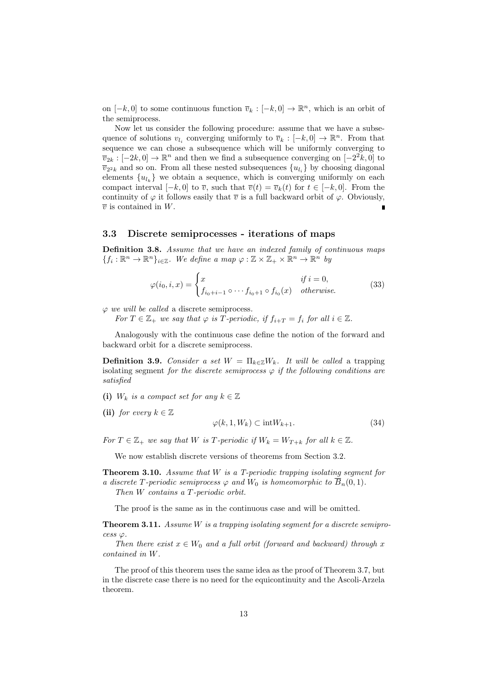on  $[-k, 0]$  to some continuous function  $\overline{v}_k : [-k, 0] \to \mathbb{R}^n$ , which is an orbit of the semiprocess.

Now let us consider the following procedure: assume that we have a subsequence of solutions  $v_{l_i}$  converging uniformly to  $\overline{v}_k : [-k, 0] \to \mathbb{R}^n$ . From that sequence we can chose a subsequence which will be uniformly converging to  $\overline{v}_{2k} : [-2k, 0] \to \mathbb{R}^n$  and then we find a subsequence converging on  $[-2^2k, 0]$  to  $\overline{v}_{2^2k}$  and so on. From all these nested subsequences  $\{u_{l_i}\}$  by choosing diagonal elements  ${u_{l_k}}$  we obtain a sequence, which is converging uniformly on each compact interval  $[-k, 0]$  to  $\overline{v}$ , such that  $\overline{v}(t) = \overline{v}_k(t)$  for  $t \in [-k, 0]$ . From the continuity of  $\varphi$  it follows easily that  $\overline{v}$  is a full backward orbit of  $\varphi$ . Obviously,  $\overline{v}$  is contained in W.

### 3.3 Discrete semiprocesses - iterations of maps

Definition 3.8. Assume that we have an indexed family of continuous maps  ${f_i: \mathbb{R}^n \to \mathbb{R}^n}_{i \in \mathbb{Z}}$ . We define a map  $\varphi: \mathbb{Z} \times \mathbb{Z}_+ \times \mathbb{R}^n \to \mathbb{R}^n$  by

$$
\varphi(i_0, i, x) = \begin{cases} x & \text{if } i = 0, \\ f_{i_0 + i - 1} \circ \cdots f_{i_0 + 1} \circ f_{i_0}(x) & \text{otherwise.} \end{cases}
$$
(33)

 $\varphi$  we will be called a discrete semiprocess.

For  $T \in \mathbb{Z}_+$  we say that  $\varphi$  is T-periodic, if  $f_{i+T} = f_i$  for all  $i \in \mathbb{Z}$ .

Analogously with the continuous case define the notion of the forward and backward orbit for a discrete semiprocess.

**Definition 3.9.** Consider a set  $W = \prod_{k \in \mathbb{Z}} W_k$ . It will be called a trapping isolating segment for the discrete semiprocess  $\varphi$  if the following conditions are satisfied

- (i)  $W_k$  is a compact set for any  $k \in \mathbb{Z}$
- (ii) for every  $k \in \mathbb{Z}$

$$
\varphi(k, 1, W_k) \subset \text{int}W_{k+1}.\tag{34}
$$

For  $T \in \mathbb{Z}_+$  we say that W is T-periodic if  $W_k = W_{T+k}$  for all  $k \in \mathbb{Z}$ .

We now establish discrete versions of theorems from Section 3.2.

**Theorem 3.10.** Assume that  $W$  is a T-periodic trapping isolating segment for a discrete T-periodic semiprocess  $\varphi$  and  $W_0$  is homeomorphic to  $\overline{B}_n(0,1)$ . Then W contains a T-periodic orbit.

The proof is the same as in the continuous case and will be omitted.

**Theorem 3.11.** Assume  $W$  is a trapping isolating segment for a discrete semipro $cess \varphi$ .

Then there exist  $x \in W_0$  and a full orbit (forward and backward) through x contained in W.

The proof of this theorem uses the same idea as the proof of Theorem 3.7, but in the discrete case there is no need for the equicontinuity and the Ascoli-Arzela theorem.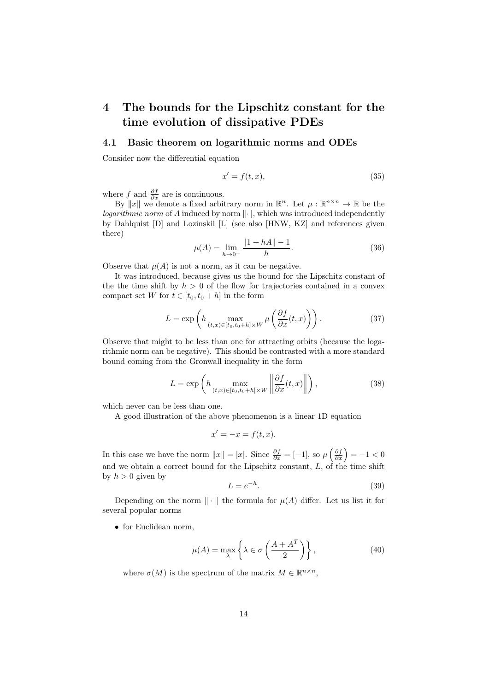# 4 The bounds for the Lipschitz constant for the time evolution of dissipative PDEs

#### 4.1 Basic theorem on logarithmic norms and ODEs

Consider now the differential equation

$$
x' = f(t, x),\tag{35}
$$

where f and  $\frac{\partial f}{\partial x}$  are is continuous.

By ||x|| we denote a fixed arbitrary norm in  $\mathbb{R}^n$ . Let  $\mu : \mathbb{R}^{n \times n} \to \mathbb{R}$  be the logarithmic norm of  $A$  induced by norm  $\lVert \cdot \rVert$ , which was introduced independently by Dahlquist [D] and Lozinskii [L] (see also [HNW, KZ] and references given there)

$$
\mu(A) = \lim_{h \to 0^+} \frac{\|1 + hA\| - 1}{h}.\tag{36}
$$

Observe that  $\mu(A)$  is not a norm, as it can be negative.

It was introduced, because gives us the bound for the Lipschitz constant of the the time shift by  $h > 0$  of the flow for trajectories contained in a convex compact set W for  $t \in [t_0, t_0 + h]$  in the form

$$
L = \exp\left(h \max_{(t,x)\in[t_0,t_0+h]\times W} \mu\left(\frac{\partial f}{\partial x}(t,x)\right)\right). \tag{37}
$$

Observe that might to be less than one for attracting orbits (because the logarithmic norm can be negative). This should be contrasted with a more standard bound coming from the Gronwall inequality in the form

$$
L = \exp\left(h \max_{(t,x)\in[t_0,t_0+h]\times W} \left\| \frac{\partial f}{\partial x}(t,x) \right\| \right),\tag{38}
$$

which never can be less than one.

A good illustration of the above phenomenon is a linear 1D equation

$$
x' = -x = f(t, x).
$$

In this case we have the norm  $||x|| = |x|$ . Since  $\frac{\partial f}{\partial x} = [-1]$ , so  $\mu\left(\frac{\partial f}{\partial x}\right) = -1 < 0$ and we obtain a correct bound for the Lipschitz constant,  $L$ , of the time shift by  $h > 0$  given by

$$
L = e^{-h}.\tag{39}
$$

Depending on the norm  $\|\cdot\|$  the formula for  $\mu(A)$  differ. Let us list it for several popular norms

• for Euclidean norm,

$$
\mu(A) = \max_{\lambda} \left\{ \lambda \in \sigma \left( \frac{A + A^T}{2} \right) \right\},\tag{40}
$$

where  $\sigma(M)$  is the spectrum of the matrix  $M \in \mathbb{R}^{n \times n}$ ,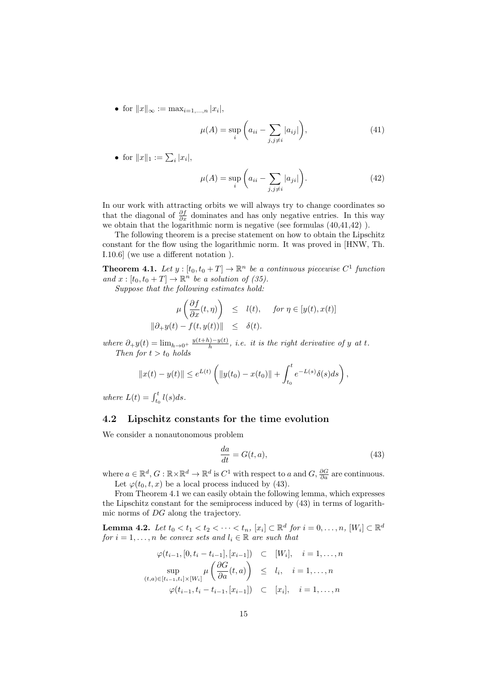• for  $||x||_{\infty} := \max_{i=1,...,n} |x_i|,$ 

$$
\mu(A) = \sup_{i} \left( a_{ii} - \sum_{j,j \neq i} |a_{ij}| \right),\tag{41}
$$

• for  $||x||_1 := \sum_i |x_i|$ ,

$$
\mu(A) = \sup_{i} \left( a_{ii} - \sum_{j,j \neq i} |a_{ji}| \right). \tag{42}
$$

In our work with attracting orbits we will always try to change coordinates so that the diagonal of  $\frac{\partial f}{\partial x}$  dominates and has only negative entries. In this way we obtain that the logarithmic norm is negative (see formulas (40,41,42) ).

The following theorem is a precise statement on how to obtain the Lipschitz constant for the flow using the logarithmic norm. It was proved in [HNW, Th. I.10.6] (we use a different notation ).

**Theorem 4.1.** Let  $y : [t_0, t_0 + T] \to \mathbb{R}^n$  be a continuous piecewise  $C^1$  function and  $x : [t_0, t_0 + T] \to \mathbb{R}^n$  be a solution of (35).

Suppose that the following estimates hold:

$$
\mu\left(\frac{\partial f}{\partial x}(t,\eta)\right) \leq l(t), \quad \text{for } \eta \in [y(t),x(t)]
$$
  

$$
\|\partial_+ y(t) - f(t,y(t))\| \leq \delta(t).
$$

where  $\partial_+ y(t) = \lim_{h \to 0^+} \frac{y(t+h)-y(t)}{h}$  $\frac{h^{(i)}-y(t)}{h}$ , i.e. it is the right derivative of y at t. Then for  $t > t_0$  holds

$$
||x(t) - y(t)|| \le e^{L(t)} \left( ||y(t_0) - x(t_0)|| + \int_{t_0}^t e^{-L(s)} \delta(s) ds \right),
$$

where  $L(t) = \int_{t_0}^{t} l(s) ds$ .

## 4.2 Lipschitz constants for the time evolution

We consider a nonautonomous problem

$$
\frac{da}{dt} = G(t, a),\tag{43}
$$

where  $a \in \mathbb{R}^d$ ,  $G : \mathbb{R} \times \mathbb{R}^d \to \mathbb{R}^d$  is  $C^1$  with respect to a and  $G$ ,  $\frac{\partial G}{\partial a}$  are continuous. Let  $\varphi(t_0, t, x)$  be a local process induced by (43).

From Theorem 4.1 we can easily obtain the following lemma, which expresses the Lipschitz constant for the semiprocess induced by (43) in terms of logarithmic norms of DG along the trajectory.

**Lemma 4.2.** Let  $t_0 < t_1 < t_2 < \cdots < t_n$ ,  $[x_i] \subset \mathbb{R}^d$  for  $i = 0, \ldots, n$ ,  $[W_i] \subset \mathbb{R}^d$ for  $i = 1, \ldots, n$  be convex sets and  $l_i \in \mathbb{R}$  are such that

$$
\varphi(t_{i-1}, [0, t_i - t_{i-1}], [x_{i-1}]) \subset [W_i], \quad i = 1, ..., n
$$
  
\n
$$
\sup_{(t,a) \in [t_{i-1}, t_i] \times [W_i]} \mu\left(\frac{\partial G}{\partial a}(t, a)\right) \leq l_i, \quad i = 1, ..., n
$$
  
\n
$$
\varphi(t_{i-1}, t_i - t_{i-1}, [x_{i-1}]) \subset [x_i], \quad i = 1, ..., n
$$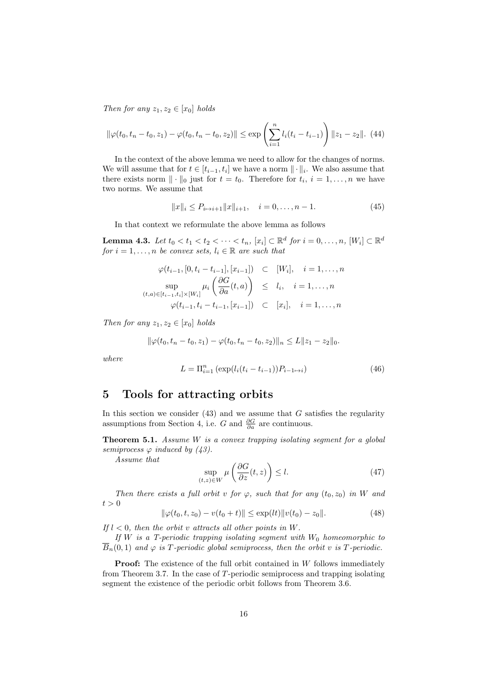Then for any  $z_1, z_2 \in [x_0]$  holds

$$
\|\varphi(t_0, t_n - t_0, z_1) - \varphi(t_0, t_n - t_0, z_2)\| \le \exp\left(\sum_{i=1}^n l_i(t_i - t_{i-1})\right) \|z_1 - z_2\|. \tag{44}
$$

In the context of the above lemma we need to allow for the changes of norms. We will assume that for  $t \in [t_{i-1}, t_i]$  we have a norm  $\|\cdot\|_i$ . We also assume that there exists norm  $\|\cdot\|_0$  just for  $t = t_0$ . Therefore for  $t_i$ ,  $i = 1, \ldots, n$  we have two norms. We assume that

$$
||x||_i \le P_{i \mapsto i+1} ||x||_{i+1}, \quad i = 0, \dots, n-1.
$$
 (45)

In that context we reformulate the above lemma as follows

**Lemma 4.3.** Let  $t_0 < t_1 < t_2 < \cdots < t_n$ ,  $[x_i] \subset \mathbb{R}^d$  for  $i = 0, \ldots, n$ ,  $[W_i] \subset \mathbb{R}^d$ for  $i = 1, \ldots, n$  be convex sets,  $l_i \in \mathbb{R}$  are such that

$$
\varphi(t_{i-1}, [0, t_i - t_{i-1}], [x_{i-1}]) \subset [W_i], \quad i = 1, ..., n
$$
  
\n
$$
\sup_{(t,a) \in [t_{i-1}, t_i] \times [W_i]} \mu_i \left( \frac{\partial G}{\partial a}(t, a) \right) \leq l_i, \quad i = 1, ..., n
$$
  
\n
$$
\varphi(t_{i-1}, t_i - t_{i-1}, [x_{i-1}]) \subset [x_i], \quad i = 1, ..., n
$$

Then for any  $z_1, z_2 \in [x_0]$  holds

$$
\|\varphi(t_0, t_n - t_0, z_1) - \varphi(t_0, t_n - t_0, z_2)\|_n \le L \|z_1 - z_2\|_0.
$$

where

$$
L = \Pi_{i=1}^{n} \left( \exp(l_i(t_i - t_{i-1})) P_{i-1 \mapsto i} \right)
$$
 (46)

## 5 Tools for attracting orbits

In this section we consider  $(43)$  and we assume that G satisfies the regularity assumptions from Section 4, i.e. G and  $\frac{\partial G}{\partial a}$  are continuous.

**Theorem 5.1.** Assume  $W$  is a convex trapping isolating segment for a global semiprocess  $\varphi$  induced by (43).

Assume that

$$
\sup_{(t,z)\in W} \mu\left(\frac{\partial G}{\partial z}(t,z)\right) \le l. \tag{47}
$$

Then there exists a full orbit v for  $\varphi$ , such that for any  $(t_0, z_0)$  in W and  $t > 0$ 

$$
\|\varphi(t_0, t, z_0) - v(t_0 + t)\| \le \exp(l t) \|v(t_0) - z_0\|.
$$
 (48)

If  $l < 0$ , then the orbit v attracts all other points in W.

If W is a T-periodic trapping isolating segment with  $W_0$  homeomorphic to  $\overline{B}_n(0,1)$  and  $\varphi$  is T-periodic global semiprocess, then the orbit v is T-periodic.

**Proof:** The existence of the full orbit contained in W follows immediately from Theorem 3.7. In the case of T-periodic semiprocess and trapping isolating segment the existence of the periodic orbit follows from Theorem 3.6.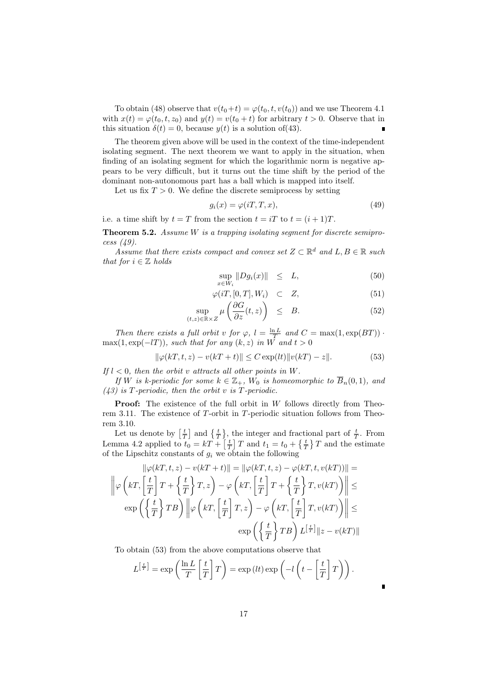To obtain (48) observe that  $v(t_0+t) = \varphi(t_0,t,v(t_0))$  and we use Theorem 4.1 with  $x(t) = \varphi(t_0, t, z_0)$  and  $y(t) = v(t_0 + t)$  for arbitrary  $t > 0$ . Observe that in this situation  $\delta(t) = 0$ , because  $y(t)$  is a solution of (43).

The theorem given above will be used in the context of the time-independent isolating segment. The next theorem we want to apply in the situation, when finding of an isolating segment for which the logarithmic norm is negative appears to be very difficult, but it turns out the time shift by the period of the dominant non-autonomous part has a ball which is mapped into itself.

Let us fix  $T > 0$ . We define the discrete semiprocess by setting

$$
g_i(x) = \varphi(iT, T, x),\tag{49}
$$

i.e. a time shift by  $t = T$  from the section  $t = iT$  to  $t = (i + 1)T$ .

**Theorem 5.2.** Assume  $W$  is a trapping isolating segment for discrete semiprocess (49).

Assume that there exists compact and convex set  $Z \subset \mathbb{R}^d$  and  $L, B \in \mathbb{R}$  such that for  $i \in \mathbb{Z}$  holds

$$
\sup_{x \in W_i} \|Dg_i(x)\| \le L,\tag{50}
$$

$$
\varphi(iT, [0, T], W_i) \quad \subset \quad Z,\tag{51}
$$

$$
\sup_{(t,z)\in\mathbb{R}\times Z} \mu\left(\frac{\partial G}{\partial z}(t,z)\right) \leq B. \tag{52}
$$

Then there exists a full orbit v for  $\varphi$ ,  $l = \frac{\ln L}{T}$  and  $C = \max(1, \exp(BT))$ .  $\max(1, \exp(-lT))$ , such that for any  $(k, z)$  in W and  $t > 0$ 

$$
\|\varphi(kT, t, z) - v(kT + t)\| \le C \exp(l t) \|v(kT) - z\|.
$$
 (53)

If  $l < 0$ , then the orbit v attracts all other points in W.

If W is k-periodic for some  $k \in \mathbb{Z}_+$ ,  $W_0$  is homeomorphic to  $\overline{B}_n(0,1)$ , and  $(43)$  is T-periodic, then the orbit v is T-periodic.

Proof: The existence of the full orbit in W follows directly from Theorem 3.11. The existence of T-orbit in T-periodic situation follows from Theorem 3.10.

Let us denote by  $\left[\frac{t}{T}\right]$  and  $\left\{\frac{t}{T}\right\}$ , the integer and fractional part of  $\frac{t}{T}$ . From Lemma 4.2 applied to  $t_0 = kT + \left[\frac{t}{T}\right]T$  and  $t_1 = t_0 + \left\{\frac{t}{T}\right\}T$  and the estimate of the Lipschitz constants of  $g_i$  we obtain the following

$$
\|\varphi(kT, t, z) - v(kT + t)\| = \|\varphi(kT, t, z) - \varphi(kT, t, v(kT))\| =
$$
  

$$
\left\|\varphi\left(kT, \left[\frac{t}{T}\right]T + \left\{\frac{t}{T}\right\}T, z\right) - \varphi\left(kT, \left[\frac{t}{T}\right]T + \left\{\frac{t}{T}\right\}T, v(kT)\right)\right\| \le
$$
  

$$
\exp\left(\left\{\frac{t}{T}\right\}TB\right) \left\|\varphi\left(kT, \left[\frac{t}{T}\right]T, z\right) - \varphi\left(kT, \left[\frac{t}{T}\right]T, v(kT)\right)\right\| \le
$$
  

$$
\exp\left(\left\{\frac{t}{T}\right\}TB\right)L^{\left[\frac{t}{T}\right]}\|z - v(kT)\|
$$

To obtain (53) from the above computations observe that

$$
L^{\left[\frac{t}{T}\right]} = \exp\left(\frac{\ln L}{T}\left[\frac{t}{T}\right]T\right) = \exp\left(lt\right)\exp\left(-l\left(t - \left[\frac{t}{T}\right]T\right)\right).
$$

Г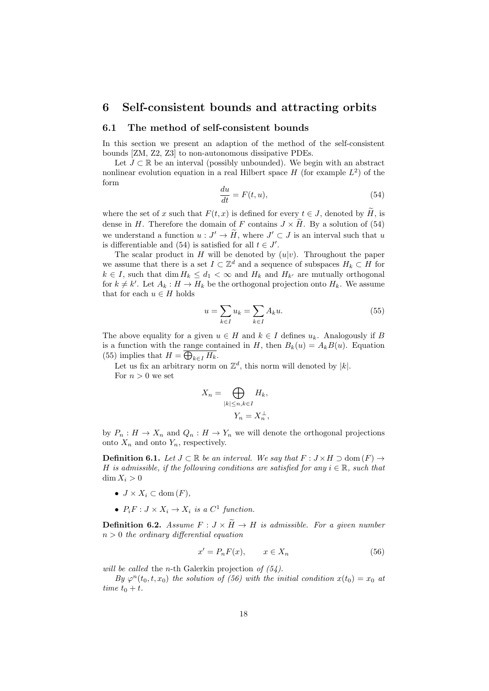### 6 Self-consistent bounds and attracting orbits

#### 6.1 The method of self-consistent bounds

In this section we present an adaption of the method of the self-consistent bounds [ZM, Z2, Z3] to non-autonomous dissipative PDEs.

Let  $J \subset \mathbb{R}$  be an interval (possibly unbounded). We begin with an abstract nonlinear evolution equation in a real Hilbert space  $H$  (for example  $L^2$ ) of the form

$$
\frac{du}{dt} = F(t, u),\tag{54}
$$

where the set of x such that  $F(t, x)$  is defined for every  $t \in J$ , denoted by  $\widetilde{H}$ , is dense in H. Therefore the domain of F contains  $J \times \tilde{H}$ . By a solution of (54) we understand a function  $u: J' \to \tilde{H}$ , where  $J' \subset J$  is an interval such that u is differentiable and (54) is satisfied for all  $t \in J'$ .

The scalar product in H will be denoted by  $(u|v)$ . Throughout the paper we assume that there is a set  $I \subset \mathbb{Z}^d$  and a sequence of subspaces  $H_k \subset H$  for  $k \in I$ , such that dim  $H_k \leq d_1 < \infty$  and  $H_k$  and  $H_{k'}$  are mutually orthogonal for  $k \neq k'$ . Let  $A_k : H \to H_k$  be the orthogonal projection onto  $H_k$ . We assume that for each  $u \in H$  holds

$$
u = \sum_{k \in I} u_k = \sum_{k \in I} A_k u.
$$
\n
$$
(55)
$$

The above equality for a given  $u \in H$  and  $k \in I$  defines  $u_k$ . Analogously if B is a function with the range contained in H, then  $B_k(u) = A_k B(u)$ . Equation (55) implies that  $H = \bigoplus_{k \in I} H_k$ .

Let us fix an arbitrary norm on  $\mathbb{Z}^d$ , this norm will denoted by |k|. For  $n > 0$  we set

$$
X_n = \bigoplus_{|k| \le n, k \in I} H_k,
$$
  

$$
Y_n = X_n^{\perp},
$$

by  $P_n: H \to X_n$  and  $Q_n: H \to Y_n$  we will denote the orthogonal projections onto  $X_n$  and onto  $Y_n$ , respectively.

**Definition 6.1.** Let  $J \subset \mathbb{R}$  be an interval. We say that  $F : J \times H \supset \text{dom}(F) \rightarrow$ H is admissible, if the following conditions are satisfied for any  $i \in \mathbb{R}$ , such that  $\dim X_i > 0$ 

- $J \times X_i \subset \text{dom}(F)$ ,
- $P_iF: J \times X_i \to X_i$  is a  $C^1$  function.

**Definition 6.2.** Assume  $F: J \times \widetilde{H} \to H$  is admissible. For a given number  $n > 0$  the ordinary differential equation

$$
x' = P_n F(x), \qquad x \in X_n \tag{56}
$$

will be called the n-th Galerkin projection of  $(54)$ .

By  $\varphi^{n}(t_0,t,x_0)$  the solution of (56) with the initial condition  $x(t_0) = x_0$  at time  $t_0 + t$ .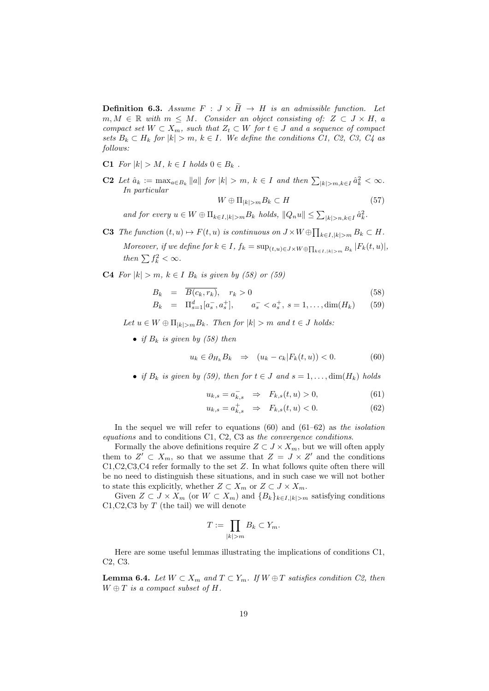**Definition 6.3.** Assume  $F : J \times \widetilde{H} \to H$  is an admissible function. Let  $m, M \in \mathbb{R}$  with  $m \leq M$ . Consider an object consisting of:  $Z \subset J \times H$ , a compact set  $W \subset X_m$ , such that  $Z_t \subset W$  for  $t \in J$  and a sequence of compact sets  $B_k \subset H_k$  for  $|k| > m$ ,  $k \in I$ . We define the conditions C1, C2, C3, C4 as follows:

- C1 For  $|k| > M$ ,  $k \in I$  holds  $0 \in B_k$ .
- **C2** Let  $\hat{a}_k := \max_{a \in B_k} \|a\|$  for  $|k| > m$ ,  $k \in I$  and then  $\sum_{|k| > m, k \in I} \hat{a}_k^2 < \infty$ . In particular

$$
W \oplus \Pi_{|k|>m} B_k \subset H \tag{57}
$$

and for every  $u \in W \oplus \Pi_{k \in I, |k| > m} B_k$  holds,  $||Q_n u|| \leq \sum_{|k| > n, k \in I} \hat{a}_k^2$ .

**C3** The function  $(t, u) \mapsto F(t, u)$  is continuous on  $J \times W \oplus \prod_{k \in I, |k| > m} B_k \subset H$ . Moreover, if we define for  $k \in I$ ,  $f_k = \sup_{(t,u) \in J \times W \oplus \prod_{k \in I, |k| > m} B_k |F_k(t,u)|$ , then  $\sum f_k^2 < \infty$ .

**C4** For  $|k| > m$ ,  $k \in I$  B<sub>k</sub> is given by (58) or (59)

$$
B_k = \overline{B(c_k, r_k)}, \quad r_k > 0 \tag{58}
$$

$$
B_k = \Pi_{s=1}^d [a_s^-, a_s^+], \qquad a_s^- < a_s^+, \ s = 1, \dots, \dim(H_k) \tag{59}
$$

Let  $u \in W \oplus \Pi_{|k|>m} B_k$ . Then for  $|k| > m$  and  $t \in J$  holds:

• if  $B_k$  is given by (58) then

$$
u_k \in \partial_{H_k} B_k \quad \Rightarrow \quad (u_k - c_k | F_k(t, u)) < 0. \tag{60}
$$

• if  $B_k$  is given by (59), then for  $t \in J$  and  $s = 1, \ldots, \dim(H_k)$  holds

$$
u_{k,s} = a_{k,s}^- \Rightarrow F_{k,s}(t,u) > 0,
$$
\n(61)

$$
u_{k,s} = a_{k,s}^+ \Rightarrow F_{k,s}(t,u) < 0. \tag{62}
$$

In the sequel we will refer to equations  $(60)$  and  $(61–62)$  as the isolation equations and to conditions C1, C2, C3 as the convergence conditions.

Formally the above definitions require  $Z \subset J \times X_m$ , but we will often apply them to  $Z' \subset X_m$ , so that we assume that  $Z = J \times Z'$  and the conditions C1,C2,C3,C4 refer formally to the set Z. In what follows quite often there will be no need to distinguish these situations, and in such case we will not bother to state this explicitly, whether  $Z \subset X_m$  or  $Z \subset J \times X_m$ .

Given  $Z \subset J \times X_m$  (or  $W \subset X_m$ ) and  $\{B_k\}_{k \in I, |k| > m}$  satisfying conditions  $C1, C2, C3$  by T (the tail) we will denote

$$
T := \prod_{|k|>m} B_k \subset Y_m.
$$

Here are some useful lemmas illustrating the implications of conditions C1, C2, C3.

**Lemma 6.4.** Let  $W \subset X_m$  and  $T \subset Y_m$ . If  $W \oplus T$  satisfies condition C2, then  $W \oplus T$  is a compact subset of H.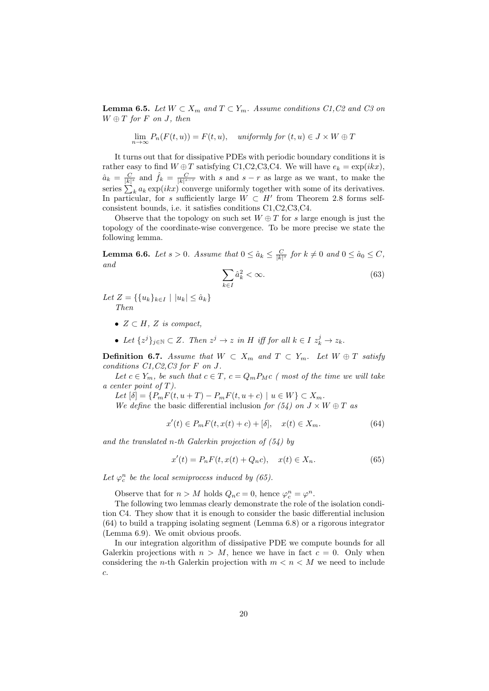**Lemma 6.5.** Let  $W \subset X_m$  and  $T \subset Y_m$ . Assume conditions C1, C2 and C3 on  $W \oplus T$  for F on J, then

$$
\lim_{n \to \infty} P_n(F(t, u)) = F(t, u), \quad \text{uniformly for } (t, u) \in J \times W \oplus T
$$

It turns out that for dissipative PDEs with periodic boundary conditions it is rather easy to find  $W \oplus T$  satisfying C1,C2,C3,C4. We will have  $e_k = \exp(ikx)$ ,  $\hat{a}_k = \frac{C}{|k|^{s}}$  and  $\hat{f}_k = \frac{C}{|k|^{s-r}}$  with s and s – r as large as we want, to make the series  $\sum_k a_k \exp(ikx)$  converge uniformly together with some of its derivatives. In particular, for s sufficiently large  $W \subset H'$  from Theorem 2.8 forms selfconsistent bounds, i.e. it satisfies conditions C1,C2,C3,C4.

Observe that the topology on such set  $W \oplus T$  for s large enough is just the topology of the coordinate-wise convergence. To be more precise we state the following lemma.

**Lemma 6.6.** Let  $s > 0$ . Assume that  $0 \leq \hat{a}_k \leq \frac{C}{|k|^s}$  for  $k \neq 0$  and  $0 \leq \hat{a}_0 \leq C$ , and

$$
\sum_{k \in I} \hat{a}_k^2 < \infty. \tag{63}
$$

Let  $Z = \{ \{u_k\}_{k \in I} \mid |u_k| \leq \hat{a}_k \}$ Then

- $Z \subset H$ ,  $Z$  is compact,
- Let  $\{z^j\}_{j\in\mathbb{N}}\subset Z$ . Then  $z^j\to z$  in H iff for all  $k\in I$   $z^j_k\to z_k$ .

**Definition 6.7.** Assume that  $W \subset X_m$  and  $T \subset Y_m$ . Let  $W \oplus T$  satisfy conditions  $C1, C2, C3$  for F on J.

Let  $c \in Y_m$ , be such that  $c \in T$ ,  $c = Q_m P_M c$  (most of the time we will take a center point of  $T$ ).

Let  $[\delta] = \{P_m F(t, u + T) - P_m F(t, u + c) \mid u \in W\} \subset X_m$ .

We define the basic differential inclusion for  $(54)$  on  $J \times W \oplus T$  as

$$
x'(t) \in P_m F(t, x(t) + c) + [\delta], \quad x(t) \in X_m.
$$
 (64)

and the translated n-th Galerkin projection of  $(54)$  by

$$
x'(t) = P_n F(t, x(t) + Q_n c), \quad x(t) \in X_n.
$$
 (65)

Let  $\varphi_c^n$  be the local semiprocess induced by (65).

Observe that for  $n > M$  holds  $Q_n c = 0$ , hence  $\varphi_c^n = \varphi^n$ .

The following two lemmas clearly demonstrate the role of the isolation condition C4. They show that it is enough to consider the basic differential inclusion (64) to build a trapping isolating segment (Lemma 6.8) or a rigorous integrator (Lemma 6.9). We omit obvious proofs.

In our integration algorithm of dissipative PDE we compute bounds for all Galerkin projections with  $n > M$ , hence we have in fact  $c = 0$ . Only when considering the *n*-th Galerkin projection with  $m < n < M$  we need to include c.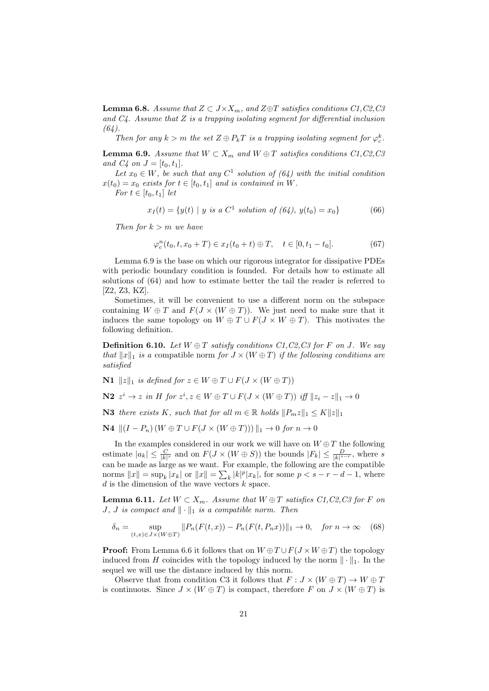**Lemma 6.8.** Assume that  $Z \subset J \times X_m$ , and  $Z \oplus T$  satisfies conditions  $C1, C2, C3$ and  $C_4$ . Assume that Z is a trapping isolating segment for differential inclusion  $(64)$ .

Then for any  $k > m$  the set  $Z \oplus P_kT$  is a trapping isolating segment for  $\varphi_c^k$ .

**Lemma 6.9.** Assume that  $W \subset X_m$  and  $W \oplus T$  satisfies conditions  $C1, C2, C3$ and  $C_4$  on  $J = [t_0, t_1]$ .

Let  $x_0 \in W$ , be such that any  $C^1$  solution of  $(64)$  with the initial condition  $x(t_0) = x_0$  exists for  $t \in [t_0, t_1]$  and is contained in W.

For  $t \in [t_0, t_1]$  let

$$
x_I(t) = \{y(t) \mid y \text{ is a } C^1 \text{ solution of } (64), y(t_0) = x_0\}
$$
 (66)

Then for  $k > m$  we have

$$
\varphi_c^n(t_0, t, x_0 + T) \in x_I(t_0 + t) \oplus T, \quad t \in [0, t_1 - t_0]. \tag{67}
$$

Lemma 6.9 is the base on which our rigorous integrator for dissipative PDEs with periodic boundary condition is founded. For details how to estimate all solutions of (64) and how to estimate better the tail the reader is referred to [Z2, Z3, KZ].

Sometimes, it will be convenient to use a different norm on the subspace containing  $W \oplus T$  and  $F(J \times (W \oplus T))$ . We just need to make sure that it induces the same topology on  $W \oplus T \cup F(J \times W \oplus T)$ . This motivates the following definition.

**Definition 6.10.** Let  $W \oplus T$  satisfy conditions  $C1, C2, C3$  for F on J. We say that  $||x||_1$  is a compatible norm for  $J \times (W \oplus T)$  if the following conditions are satisfied

N1  $||z||_1$  is defined for  $z \in W \oplus T \cup F(J \times (W \oplus T))$ 

N2  $z^i$  → z in H for  $z^i$ ,  $z \in W \oplus T \cup F(J \times (W \oplus T))$  iff  $||z_i - z||_1 \rightarrow 0$ 

**N3** there exists K, such that for all  $m \in \mathbb{R}$  holds  $||P_mz||_1 \leq K||z||_1$ 

**N4**  $||(I - P_n)(W ⊕ T ∪ F(J × (W ⊕ T))) ||_1 → 0$  for  $n → 0$ 

In the examples considered in our work we will have on  $W \oplus T$  the following estimate  $|a_k| \leq \frac{C}{|k|^s}$  and on  $F(J \times (W \oplus S))$  the bounds  $|F_k| \leq \frac{D}{|k|^{s-r}}$ , where s can be made as large as we want. For example, the following are the compatible norms  $||x|| = \sup_k |x_k|$  or  $||x|| = \sum_k |k|^p |x_k|$ , for some  $p < s - r - d - 1$ , where  $d$  is the dimension of the wave vectors  $k$  space.

**Lemma 6.11.** Let  $W \subset X_m$ . Assume that  $W \oplus T$  satisfies C1, C2, C3 for F on J, J is compact and  $\|\cdot\|_1$  is a compatible norm. Then

$$
\delta_n = \sup_{(t,x)\in J\times(W\oplus T)} \|P_n(F(t,x)) - P_n(F(t,P_n x))\|_1 \to 0, \quad \text{for } n \to \infty \quad (68)
$$

**Proof:** From Lemma 6.6 it follows that on  $W \oplus T \cup F(J \times W \oplus T)$  the topology induced from H coincides with the topology induced by the norm  $\|\cdot\|_1$ . In the sequel we will use the distance induced by this norm.

Observe that from condition C3 it follows that  $F: J \times (W \oplus T) \to W \oplus T$ is continuous. Since  $J \times (W \oplus T)$  is compact, therefore F on  $J \times (W \oplus T)$  is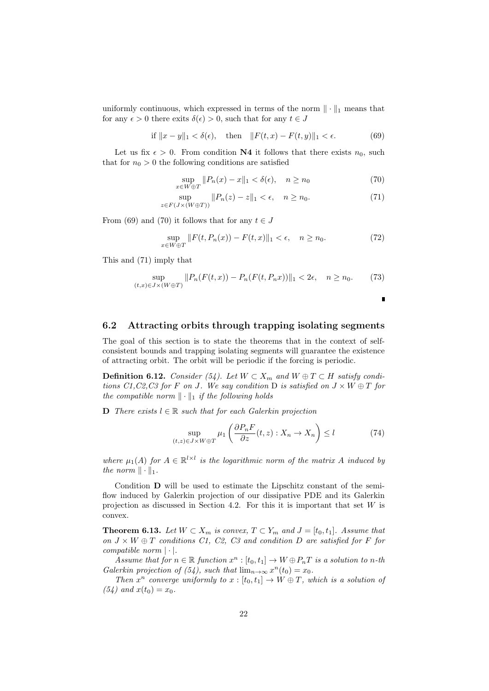uniformly continuous, which expressed in terms of the norm  $\|\cdot\|_1$  means that for any  $\epsilon > 0$  there exits  $\delta(\epsilon) > 0$ , such that for any  $t \in J$ 

if 
$$
||x - y||_1 < \delta(\epsilon)
$$
, then  $||F(t, x) - F(t, y)||_1 < \epsilon$ . (69)

Let us fix  $\epsilon > 0$ . From condition **N4** it follows that there exists  $n_0$ , such that for  $n_0 > 0$  the following conditions are satisfied

$$
\sup_{x \in W \oplus T} \|P_n(x) - x\|_1 < \delta(\epsilon), \quad n \ge n_0 \tag{70}
$$

$$
\sup_{z \in F(J \times (W \oplus T))} \|P_n(z) - z\|_1 < \epsilon, \quad n \ge n_0. \tag{71}
$$

From (69) and (70) it follows that for any  $t \in J$ 

$$
\sup_{x \in W \oplus T} ||F(t, P_n(x)) - F(t, x)||_1 < \epsilon, \quad n \ge n_0. \tag{72}
$$

This and (71) imply that

$$
\sup_{(t,x)\in J\times(W\oplus T)}\|P_n(F(t,x)) - P_n(F(t,P_n x))\|_1 < 2\epsilon, \quad n \ge n_0.
$$
 (73)

$$
\mathbf{L}^{\prime}
$$

### 6.2 Attracting orbits through trapping isolating segments

The goal of this section is to state the theorems that in the context of selfconsistent bounds and trapping isolating segments will guarantee the existence of attracting orbit. The orbit will be periodic if the forcing is periodic.

**Definition 6.12.** Consider (54). Let  $W \subset X_m$  and  $W \oplus T \subset H$  satisfy conditions C1, C2, C3 for F on J. We say condition D is satisfied on  $J \times W \oplus T$  for the compatible norm  $\|\cdot\|_1$  if the following holds

**D** There exists  $l \in \mathbb{R}$  such that for each Galerkin projection

$$
\sup_{(t,z)\in J\times W\oplus T} \mu_1\left(\frac{\partial P_n F}{\partial z}(t,z):X_n\to X_n\right) \le l \tag{74}
$$

where  $\mu_1(A)$  for  $A \in \mathbb{R}^{l \times l}$  is the logarithmic norm of the matrix A induced by the norm  $\|\cdot\|_1$ .

Condition D will be used to estimate the Lipschitz constant of the semiflow induced by Galerkin projection of our dissipative PDE and its Galerkin projection as discussed in Section 4.2. For this it is important that set  $W$  is convex.

**Theorem 6.13.** Let  $W \subset X_m$  is convex,  $T \subset Y_m$  and  $J = [t_0, t_1]$ . Assume that on  $J \times W \oplus T$  conditions C1, C2, C3 and condition D are satisfied for F for compatible norm  $|\cdot|$ .

Assume that for  $n \in \mathbb{R}$  function  $x^n : [t_0, t_1] \to W \oplus P_nT$  is a solution to n-th Galerkin projection of (54), such that  $\lim_{n\to\infty} x^n(t_0) = x_0$ .

Then  $x^n$  converge uniformly to  $x : [t_0, t_1] \to W \oplus T$ , which is a solution of  $(54)$  and  $x(t_0) = x_0$ .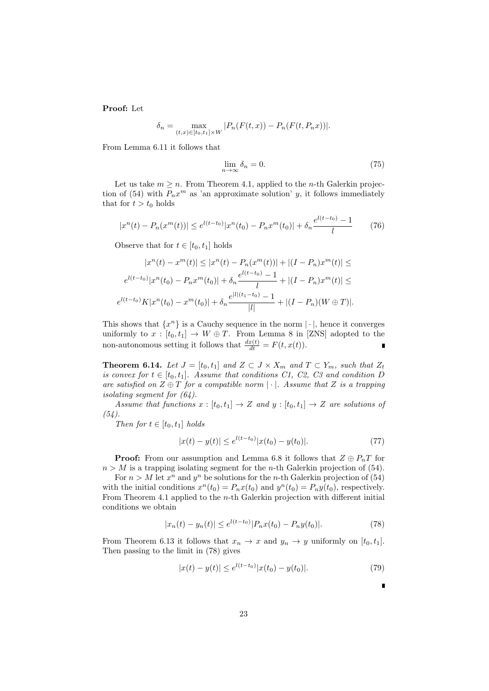Proof: Let

$$
\delta_n = \max_{(t,x)\in[t_0,t_1]\times W} |P_n(F(t,x)) - P_n(F(t,P_n x))|.
$$

From Lemma 6.11 it follows that

$$
\lim_{n \to \infty} \delta_n = 0. \tag{75}
$$

Let us take  $m \geq n$ . From Theorem 4.1, applied to the *n*-th Galerkin projection of (54) with  $P_n x^m$  as 'an approximate solution' y, it follows immediately that for  $t > t_0$  holds

$$
|x^n(t) - P_n(x^m(t))| \le e^{l(t-t_0)} |x^n(t_0) - P_n x^m(t_0)| + \delta_n \frac{e^{l(t-t_0)} - 1}{l} \tag{76}
$$

Observe that for  $t \in [t_0, t_1]$  holds

$$
|x^n(t) - x^m(t)| \le |x^n(t) - P_n(x^m(t))| + |(I - P_n)x^m(t)| \le
$$
  

$$
e^{l(t-t_0)}|x^n(t_0) - P_nx^m(t_0)| + \delta_n \frac{e^{l(t-t_0)} - 1}{l} + |(I - P_n)x^m(t)| \le
$$
  

$$
e^{l(t-t_0)}K|x^n(t_0) - x^m(t_0)| + \delta_n \frac{e^{|l|(t_1-t_0)} - 1}{|l|} + |(I - P_n)(W \oplus T)|.
$$

This shows that  $\{x^n\}$  is a Cauchy sequence in the norm  $|\cdot|$ , hence it converges uniformly to  $x : [t_0, t_1] \to W \oplus T$ . From Lemma 8 in [ZNS] adopted to the non-autonomous setting it follows that  $\frac{dx(t)}{dt} = F(t, x(t)).$ 

**Theorem 6.14.** Let  $J = [t_0, t_1]$  and  $Z \subset J \times X_m$  and  $T \subset Y_m$ , such that  $Z_t$ is convex for  $t \in [t_0, t_1]$ . Assume that conditions C1, C2, C3 and condition D are satisfied on  $Z \oplus T$  for a compatible norm  $|\cdot|$ . Assume that Z is a trapping isolating segment for (64).

Assume that functions  $x : [t_0, t_1] \rightarrow Z$  and  $y : [t_0, t_1] \rightarrow Z$  are solutions of  $(54)$ .

Then for  $t \in [t_0, t_1]$  holds

$$
|x(t) - y(t)| \le e^{l(t - t_0)} |x(t_0) - y(t_0)|. \tag{77}
$$

**Proof:** From our assumption and Lemma 6.8 it follows that  $Z \oplus P_nT$  for  $n > M$  is a trapping isolating segment for the *n*-th Galerkin projection of (54).

For  $n > M$  let  $x^n$  and  $y^n$  be solutions for the *n*-th Galerkin projection of (54) with the initial conditions  $x^n(t_0) = P_n x(t_0)$  and  $y^n(t_0) = P_n y(t_0)$ , respectively. From Theorem 4.1 applied to the n-th Galerkin projection with different initial conditions we obtain

$$
|x_n(t) - y_n(t)| \le e^{l(t - t_0)} |P_n x(t_0) - P_n y(t_0)|.
$$
 (78)

From Theorem 6.13 it follows that  $x_n \to x$  and  $y_n \to y$  uniformly on  $[t_0, t_1]$ . Then passing to the limit in (78) gives

$$
|x(t) - y(t)| \le e^{l(t - t_0)} |x(t_0) - y(t_0)|. \tag{79}
$$

 $\blacksquare$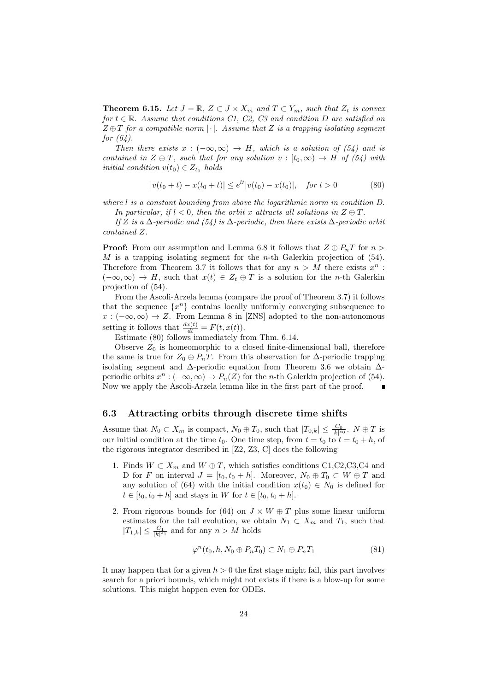**Theorem 6.15.** Let  $J = \mathbb{R}$ ,  $Z \subset J \times X_m$  and  $T \subset Y_m$ , such that  $Z_t$  is convex for  $t \in \mathbb{R}$ . Assume that conditions C1, C2, C3 and condition D are satisfied on  $Z \oplus T$  for a compatible norm  $|\cdot|$ . Assume that Z is a trapping isolating segment for  $(64)$ .

Then there exists  $x : (-\infty, \infty) \rightarrow H$ , which is a solution of (54) and is contained in  $Z \oplus T$ , such that for any solution  $v : [t_0, \infty) \rightarrow H$  of (54) with initial condition  $v(t_0) \in Z_{t_0}$  holds

$$
|v(t_0 + t) - x(t_0 + t)| \le e^{lt} |v(t_0) - x(t_0)|, \quad \text{for } t > 0 \tag{80}
$$

where l is a constant bounding from above the logarithmic norm in condition D.

In particular, if  $l < 0$ , then the orbit x attracts all solutions in  $Z \oplus T$ .

If Z is a  $\Delta$ -periodic and (54) is  $\Delta$ -periodic, then there exists  $\Delta$ -periodic orbit contained Z.

**Proof:** From our assumption and Lemma 6.8 it follows that  $Z \oplus P_nT$  for  $n >$ M is a trapping isolating segment for the *n*-th Galerkin projection of  $(54)$ . Therefore from Theorem 3.7 it follows that for any  $n > M$  there exists  $x^n$ :  $(-\infty,\infty) \to H$ , such that  $x(t) \in Z_t \oplus T$  is a solution for the *n*-th Galerkin projection of (54).

From the Ascoli-Arzela lemma (compare the proof of Theorem 3.7) it follows that the sequence  $\{x^n\}$  contains locally uniformly converging subsequence to  $x : (-\infty, \infty) \to Z$ . From Lemma 8 in [ZNS] adopted to the non-autonomous setting it follows that  $\frac{dx(t)}{dt} = F(t, x(t)).$ 

Estimate (80) follows immediately from Thm. 6.14.

Observe  $Z_0$  is homeomorphic to a closed finite-dimensional ball, therefore the same is true for  $Z_0 \oplus P_nT$ . From this observation for  $\Delta$ -periodic trapping isolating segment and ∆-periodic equation from Theorem 3.6 we obtain ∆ periodic orbits  $x^n : (-\infty, \infty) \to P_n(Z)$  for the *n*-th Galerkin projection of (54). Now we apply the Ascoli-Arzela lemma like in the first part of the proof.

### 6.3 Attracting orbits through discrete time shifts

Assume that  $N_0 \subset X_m$  is compact,  $N_0 \oplus T_0$ , such that  $|T_{0,k}| \leq \frac{C_0}{|k|^{s_0}}$ .  $N \oplus T$  is our initial condition at the time  $t_0$ . One time step, from  $t = t_0$  to  $t = t_0 + h$ , of the rigorous integrator described in [Z2, Z3, C] does the following

- 1. Finds  $W \subset X_m$  and  $W \oplus T$ , which satisfies conditions C1,C2,C3,C4 and D for F on interval  $J = [t_0, t_0 + h]$ . Moreover,  $N_0 \oplus T_0 \subset W \oplus T$  and any solution of (64) with the initial condition  $x(t_0) \in N_0$  is defined for  $t \in [t_0, t_0 + h]$  and stays in W for  $t \in [t_0, t_0 + h]$ .
- 2. From rigorous bounds for (64) on  $J \times W \oplus T$  plus some linear uniform estimates for the tail evolution, we obtain  $N_1 \subset X_m$  and  $T_1$ , such that  $|T_{1,k}| \leq \frac{C_1}{|k|^{s_1}}$  and for any  $n > M$  holds

$$
\varphi^n(t_0, h, N_0 \oplus P_n T_0) \subset N_1 \oplus P_n T_1 \tag{81}
$$

It may happen that for a given  $h > 0$  the first stage might fail, this part involves search for a priori bounds, which might not exists if there is a blow-up for some solutions. This might happen even for ODEs.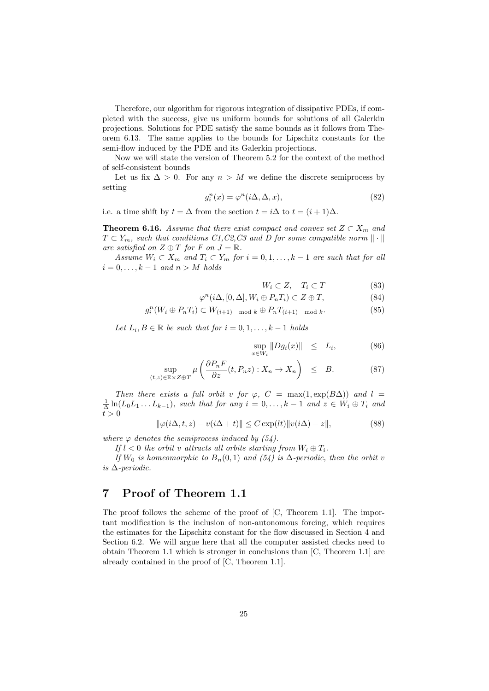Therefore, our algorithm for rigorous integration of dissipative PDEs, if completed with the success, give us uniform bounds for solutions of all Galerkin projections. Solutions for PDE satisfy the same bounds as it follows from Theorem 6.13. The same applies to the bounds for Lipschitz constants for the semi-flow induced by the PDE and its Galerkin projections.

Now we will state the version of Theorem 5.2 for the context of the method of self-consistent bounds

Let us fix  $\Delta > 0$ . For any  $n > M$  we define the discrete semiprocess by setting

$$
g_i^n(x) = \varphi^n(i\Delta, \Delta, x),\tag{82}
$$

i.e. a time shift by  $t = \Delta$  from the section  $t = i\Delta$  to  $t = (i + 1)\Delta$ .

**Theorem 6.16.** Assume that there exist compact and convex set  $Z \subset X_m$  and  $T \subset Y_m$ , such that conditions  $C1, C2, C3$  and D for some compatible norm  $\|\cdot\|$ are satisfied on  $Z \oplus T$  for F on  $J = \mathbb{R}$ .

Assume  $W_i \subset X_m$  and  $T_i \subset Y_m$  for  $i = 0, 1, ..., k-1$  are such that for all  $i = 0, \ldots, k - 1$  and  $n > M$  holds

$$
W_i \subset Z, \quad T_i \subset T \tag{83}
$$

$$
\varphi^n(i\Delta, [0, \Delta], W_i \oplus P_n T_i) \subset Z \oplus T,\tag{84}
$$

$$
g_i^n(W_i \oplus P_n T_i) \subset W_{(i+1) \mod k} \oplus P_n T_{(i+1) \mod k}.
$$
 (85)

Let  $L_i, B \in \mathbb{R}$  be such that for  $i = 0, 1, \ldots, k - 1$  holds

$$
\sup_{x \in W_i} \|Dg_i(x)\| \le L_i,
$$
\n(86)

$$
\sup_{(t,z)\in\mathbb{R}\times Z\oplus T} \mu\left(\frac{\partial P_n F}{\partial z}(t, P_n z) : X_n \to X_n\right) \leq B. \tag{87}
$$

Then there exists a full orbit v for  $\varphi$ ,  $C = \max(1, \exp(B\Delta))$  and  $l =$  $\frac{1}{\Delta}\ln(L_0L_1...L_{k-1}),$  such that for any  $i=0,\ldots,k-1$  and  $z\in W_i\oplus T_i$  and  $\overrightarrow{t} > 0$ 

$$
\|\varphi(i\Delta, t, z) - v(i\Delta + t)\| \le C \exp(l t) \|v(i\Delta) - z\|,\tag{88}
$$

where  $\varphi$  denotes the semiprocess induced by (54).

If  $l < 0$  the orbit v attracts all orbits starting from  $W_i \oplus T_i$ .

If  $W_0$  is homeomorphic to  $B_n(0,1)$  and  $(54)$  is  $\Delta$ -periodic, then the orbit v is ∆-periodic.

# 7 Proof of Theorem 1.1

The proof follows the scheme of the proof of [C, Theorem 1.1]. The important modification is the inclusion of non-autonomous forcing, which requires the estimates for the Lipschitz constant for the flow discussed in Section 4 and Section 6.2. We will argue here that all the computer assisted checks need to obtain Theorem 1.1 which is stronger in conclusions than [C, Theorem 1.1] are already contained in the proof of [C, Theorem 1.1].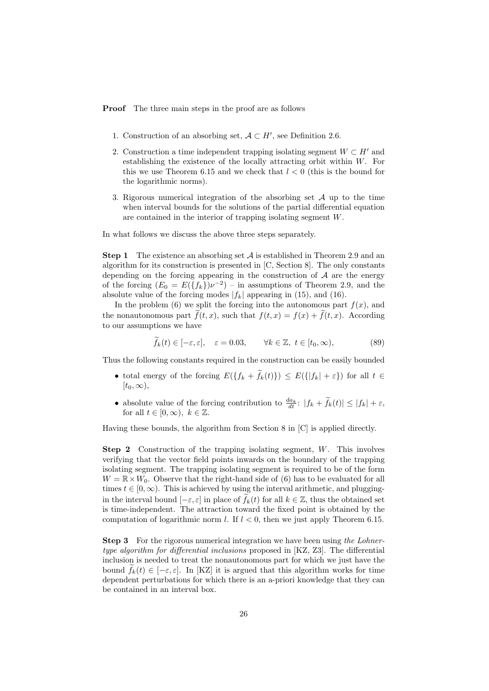Proof The three main steps in the proof are as follows

- 1. Construction of an absorbing set,  $A \subset H'$ , see Definition 2.6.
- 2. Construction a time independent trapping isolating segment  $W \subset H'$  and establishing the existence of the locally attracting orbit within W. For this we use Theorem 6.15 and we check that  $l < 0$  (this is the bound for the logarithmic norms).
- 3. Rigorous numerical integration of the absorbing set  $\mathcal A$  up to the time when interval bounds for the solutions of the partial differential equation are contained in the interior of trapping isolating segment W.

In what follows we discuss the above three steps separately.

**Step 1** The existence an absorbing set  $A$  is established in Theorem 2.9 and an algorithm for its construction is presented in [C, Section 8]. The only constants depending on the forcing appearing in the construction of  $A$  are the energy of the forcing  $(E_0 = E({f_k})\nu^{-2})$  – in assumptions of Theorem 2.9, and the absolute value of the forcing modes  $|f_k|$  appearing in (15), and (16).

In the problem (6) we split the forcing into the autonomous part  $f(x)$ , and the nonautonomous part  $\tilde{f}(t, x)$ , such that  $f(t, x) = f(x) + \tilde{f}(t, x)$ . According to our assumptions we have

$$
\widetilde{f}_k(t) \in [-\varepsilon, \varepsilon], \quad \varepsilon = 0.03, \qquad \forall k \in \mathbb{Z}, \ t \in [t_0, \infty),
$$
\n(89)

Thus the following constants required in the construction can be easily bounded

- total energy of the forcing  $E({f_k + \tilde{f}_k(t)}) \le E({f_k + \varepsilon})$  for all  $t \in$  $[t_0, \infty),$
- absolute value of the forcing contribution to  $\frac{da_k}{dt}$ :  $|f_k + \widetilde{f}_k(t)| \leq |f_k| + \varepsilon$ , for all  $t \in [0, \infty)$ ,  $k \in \mathbb{Z}$ .

Having these bounds, the algorithm from Section 8 in [C] is applied directly.

Step 2 Construction of the trapping isolating segment, W. This involves verifying that the vector field points inwards on the boundary of the trapping isolating segment. The trapping isolating segment is required to be of the form  $W = \mathbb{R} \times W_0$ . Observe that the right-hand side of (6) has to be evaluated for all times  $t \in [0, \infty)$ . This is achieved by using the interval arithmetic, and pluggingin the interval bound  $[-\varepsilon, \varepsilon]$  in place of  $f_k(t)$  for all  $k \in \mathbb{Z}$ , thus the obtained set is time-independent. The attraction toward the fixed point is obtained by the computation of logarithmic norm l. If  $l < 0$ , then we just apply Theorem 6.15.

**Step 3** For the rigorous numerical integration we have been using the Lohnertype algorithm for differential inclusions proposed in [KZ, Z3]. The differential inclusion is needed to treat the nonautonomous part for which we just have the bound  $f_k(t) \in [-\varepsilon, \varepsilon]$ . In [KZ] it is argued that this algorithm works for time dependent perturbations for which there is an a-priori knowledge that they can be contained in an interval box.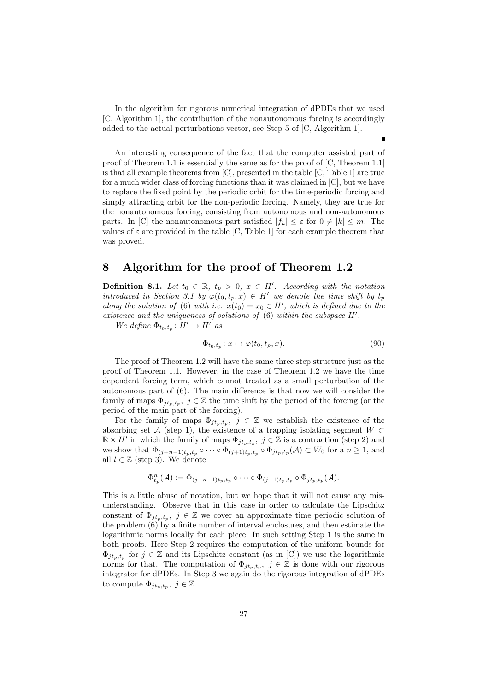In the algorithm for rigorous numerical integration of dPDEs that we used [C, Algorithm 1], the contribution of the nonautonomous forcing is accordingly added to the actual perturbations vector, see Step 5 of [C, Algorithm 1].

An interesting consequence of the fact that the computer assisted part of proof of Theorem 1.1 is essentially the same as for the proof of [C, Theorem 1.1] is that all example theorems from [C], presented in the table [C, Table 1] are true for a much wider class of forcing functions than it was claimed in [C], but we have to replace the fixed point by the periodic orbit for the time-periodic forcing and simply attracting orbit for the non-periodic forcing. Namely, they are true for the nonautonomous forcing, consisting from autonomous and non-autonomous parts. In [C] the nonautonomous part satisfied  $|\tilde{f}_k| \leq \varepsilon$  for  $0 \neq |k| \leq m$ . The values of  $\varepsilon$  are provided in the table [C, Table 1] for each example theorem that was proved.

## 8 Algorithm for the proof of Theorem 1.2

**Definition 8.1.** Let  $t_0 \in \mathbb{R}$ ,  $t_p > 0$ ,  $x \in H'$ . According with the notation introduced in Section 3.1 by  $\varphi(t_0, t_p, x) \in H'$  we denote the time shift by  $t_p$ along the solution of (6) with i.c.  $x(t_0) = x_0 \in H'$ , which is defined due to the existence and the uniqueness of solutions of  $(6)$  within the subspace  $H'$ .

We define  $\Phi_{t_0,t_p}: H' \to H'$  as

$$
\Phi_{t_0, t_p}: x \mapsto \varphi(t_0, t_p, x). \tag{90}
$$

The proof of Theorem 1.2 will have the same three step structure just as the proof of Theorem 1.1. However, in the case of Theorem 1.2 we have the time dependent forcing term, which cannot treated as a small perturbation of the autonomous part of (6). The main difference is that now we will consider the family of maps  $\Phi_{jt_p,t_p}$ ,  $j \in \mathbb{Z}$  the time shift by the period of the forcing (or the period of the main part of the forcing).

For the family of maps  $\Phi_{jt_p,t_p}$ ,  $j \in \mathbb{Z}$  we establish the existence of the absorbing set A (step 1), the existence of a trapping isolating segment  $W \subset$  $\mathbb{R} \times H'$  in which the family of maps  $\Phi_{jt_p,t_p}$ ,  $j \in \mathbb{Z}$  is a contraction (step 2) and we show that  $\Phi_{(j+n-1)t_p,t_p} \circ \cdots \circ \Phi_{(j+1)t_p,t_p} \circ \Phi_{jt_p,t_p}(\mathcal{A}) \subset W_0$  for a  $n \geq 1$ , and all  $l \in \mathbb{Z}$  (step 3). We denote

$$
\Phi_{t_p}^n(\mathcal{A}) := \Phi_{(j+n-1)t_p,t_p} \circ \cdots \circ \Phi_{(j+1)t_p,t_p} \circ \Phi_{jt_p,t_p}(\mathcal{A}).
$$

This is a little abuse of notation, but we hope that it will not cause any misunderstanding. Observe that in this case in order to calculate the Lipschitz constant of  $\Phi_{jt_p,t_p}, \ j \in \mathbb{Z}$  we cover an approximate time periodic solution of the problem (6) by a finite number of interval enclosures, and then estimate the logarithmic norms locally for each piece. In such setting Step 1 is the same in both proofs. Here Step 2 requires the computation of the uniform bounds for  $\Phi_{jt_p,t_p}$  for  $j \in \mathbb{Z}$  and its Lipschitz constant (as in [C]) we use the logarithmic norms for that. The computation of  $\Phi_{jt_p,t_p}$ ,  $j \in \mathbb{Z}$  is done with our rigorous integrator for dPDEs. In Step 3 we again do the rigorous integration of dPDEs to compute  $\Phi_{jt_p,t_p},\ j\in\mathbb{Z}$ .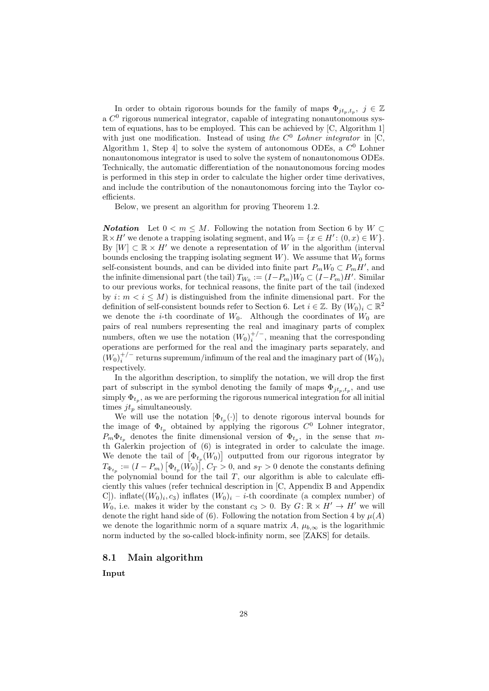In order to obtain rigorous bounds for the family of maps  $\Phi_{jt_p,t_p},\ j\in\mathbb{Z}$ a  $C<sup>0</sup>$  rigorous numerical integrator, capable of integrating nonautonomous system of equations, has to be employed. This can be achieved by [C, Algorithm 1] with just one modification. Instead of using the  $C^0$  Lohner integrator in [C, Algorithm 1, Step 4 to solve the system of autonomous ODEs, a  $C^0$  Lohner nonautonomous integrator is used to solve the system of nonautonomous ODEs. Technically, the automatic differentiation of the nonautonomous forcing modes is performed in this step in order to calculate the higher order time derivatives, and include the contribution of the nonautonomous forcing into the Taylor coefficients.

Below, we present an algorithm for proving Theorem 1.2.

**Notation** Let  $0 < m \leq M$ . Following the notation from Section 6 by  $W \subset$  $\mathbb{R} \times H'$  we denote a trapping isolating segment, and  $W_0 = \{x \in H': (0, x) \in W\}.$ By  $[W] \subset \mathbb{R} \times H'$  we denote a representation of W in the algorithm (interval bounds enclosing the trapping isolating segment  $W$ ). We assume that  $W_0$  forms self-consistent bounds, and can be divided into finite part  $P_m W_0 \subset P_m H'$ , and the infinite dimensional part (the tail)  $T_{W_0} := (I - P_m)W_0 \subset (I - P_m)H'$ . Similar to our previous works, for technical reasons, the finite part of the tail (indexed by  $i: m < i \leq M$ ) is distinguished from the infinite dimensional part. For the definition of self-consistent bounds refer to Section 6. Let  $i \in \mathbb{Z}$ . By  $(W_0)_i \subset \mathbb{R}^2$ we denote the *i*-th coordinate of  $W_0$ . Although the coordinates of  $W_0$  are pairs of real numbers representing the real and imaginary parts of complex numbers, often we use the notation  $(W_0)_i^{+/-}$ , meaning that the corresponding operations are performed for the real and the imaginary parts separately, and  $(W_0)_i^{+/-}$  returns supremum/infimum of the real and the imaginary part of  $(W_0)_i$ respectively.

In the algorithm description, to simplify the notation, we will drop the first part of subscript in the symbol denoting the family of maps  $\Phi_{jt_p,t_p}$ , and use simply  $\Phi_{t_p}$ , as we are performing the rigorous numerical integration for all initial times  $jt_p$  simultaneously.

We will use the notation  $[\Phi_{t_p}(\cdot)]$  to denote rigorous interval bounds for the image of  $\Phi_{t_p}$  obtained by applying the rigorous  $C^0$  Lohner integrator,  $P_m \Phi_{t_p}$  denotes the finite dimensional version of  $\Phi_{t_p}$ , in the sense that mth Galerkin projection of (6) is integrated in order to calculate the image. We denote the tail of  $[\Phi_{t_p}(W_0)]$  outputted from our rigorous integrator by  $T_{\Phi_{t_p}} := (I - P_m) \left[ \Phi_{t_p}(W_0) \right], C_T > 0$ , and  $s_T > 0$  denote the constants defining the polynomial bound for the tail  $T$ , our algorithm is able to calculate efficiently this values (refer technical description in [C, Appendix B and Appendix C]). inflate( $(W_0)_i$ ,  $c_3$ ) inflates  $(W_0)_i - i$ -th coordinate (a complex number) of  $W_0$ , i.e. makes it wider by the constant  $c_3 > 0$ . By  $G: \mathbb{R} \times H' \to H'$  we will denote the right hand side of (6). Following the notation from Section 4 by  $\mu(A)$ we denote the logarithmic norm of a square matrix A,  $\mu_{b,\infty}$  is the logarithmic norm inducted by the so-called block-infinity norm, see [ZAKS] for details.

### 8.1 Main algorithm

Input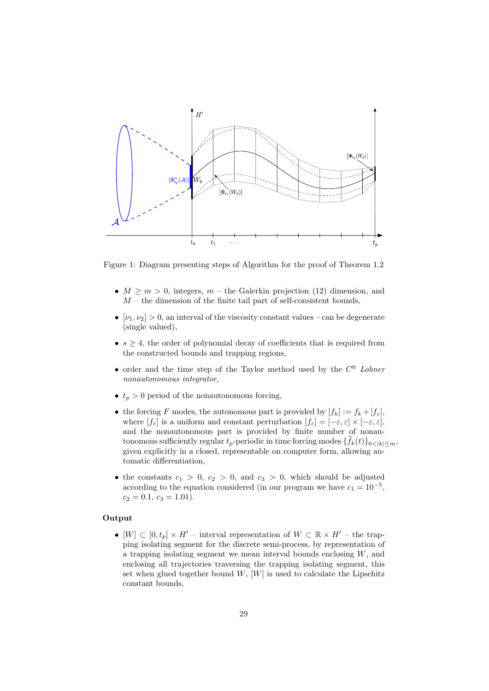

Figure 1: Diagram presenting steps of Algorithm for the proof of Theorem 1.2

- $M \geq m > 0$ , integers,  $m$  the Galerkin projection (12) dimension, and  $M$  – the dimension of the finite tail part of self-consistent bounds,
- $[\nu_1, \nu_2] > 0$ , an interval of the viscosity constant values can be degenerate (single valued),
- $s \geq 4$ , the order of polynomial decay of coefficients that is required from the constructed bounds and trapping regions,
- order and the time step of the Taylor method used by the  $C^0$  Lohner nonautonomous integrator,
- $t_p > 0$  period of the nonautonomous forcing,
- the forcing F modes, the autonomous part is provided by  $[f_k] := f_k + [f_{\varepsilon}],$ where  $[f_{\varepsilon}]$  is a uniform and constant perturbation  $[f_{\varepsilon}] = [-\varepsilon, \varepsilon] \times [-\varepsilon, \varepsilon],$ and the nonautonomous part is provided by finite number of nonautonomous sufficiently regular  $t_p$ -periodic in time forcing modes  $\{f_k(t)\}_{0\leq k\leq m}$ , given explicitly in a closed, representable on computer form, allowing automatic differentiation,
- the constants  $c_1 > 0$ ,  $c_2 > 0$ , and  $c_3 > 0$ , which should be adjusted according to the equation considered (in our program we have  $c_1 = 10^{-5}$ ,  $c_2 = 0.1, c_3 = 1.01$ .

#### Output

•  $[W] \subset [0, t_p] \times H'$  – interval representation of  $W \subset \mathbb{R} \times H'$  – the trapping isolating segment for the discrete semi-process, by representation of a trapping isolating segment we mean interval bounds enclosing  $W$ , and enclosing all trajectories traversing the trapping isolating segment, this set when glued together bound  $W$ ,  $[W]$  is used to calculate the Lipschitz constant bounds,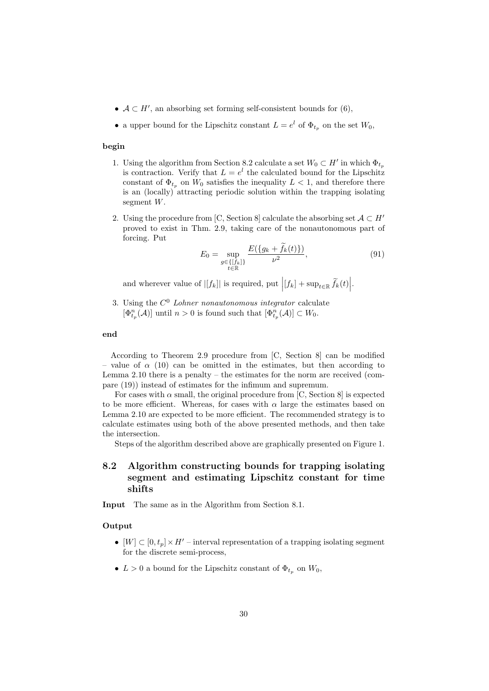- $A \subset H'$ , an absorbing set forming self-consistent bounds for (6),
- a upper bound for the Lipschitz constant  $L = e^l$  of  $\Phi_{t_p}$  on the set  $W_0$ ,

#### begin

- 1. Using the algorithm from Section 8.2 calculate a set  $W_0 \subset H'$  in which  $\Phi_{t_p}$ is contraction. Verify that  $L = e^l$  the calculated bound for the Lipschitz constant of  $\Phi_{t_p}$  on  $W_0$  satisfies the inequality  $L < 1$ , and therefore there is an (locally) attracting periodic solution within the trapping isolating segment W.
- 2. Using the procedure from [C, Section 8] calculate the absorbing set  $\mathcal{A} \subset H'$ proved to exist in Thm. 2.9, taking care of the nonautonomous part of forcing. Put

$$
E_0 = \sup_{\substack{g \in \{[f_k]\} \\ t \in \mathbb{R}}} \frac{E(\{g_k + \tilde{f}_k(t)\})}{\nu^2},\tag{91}
$$

and wherever value of  $|[f_k]|$  is required, put  $|(f_k] + \sup_{t \in \mathbb{R}} \widetilde{f}_k(t)|$ .

3. Using the  $C^0$  Lohner nonautonomous integrator calculate  $[\Phi_{t_p}^n(\mathcal{A})]$  until  $n > 0$  is found such that  $[\Phi_{t_p}^n(\mathcal{A})] \subset W_0$ .

#### end

According to Theorem 2.9 procedure from [C, Section 8] can be modified – value of  $\alpha$  (10) can be omitted in the estimates, but then according to Lemma 2.10 there is a penalty – the estimates for the norm are received (compare (19)) instead of estimates for the infimum and supremum.

For cases with  $\alpha$  small, the original procedure from [C, Section 8] is expected to be more efficient. Whereas, for cases with  $\alpha$  large the estimates based on Lemma 2.10 are expected to be more efficient. The recommended strategy is to calculate estimates using both of the above presented methods, and then take the intersection.

Steps of the algorithm described above are graphically presented on Figure 1.

### 8.2 Algorithm constructing bounds for trapping isolating segment and estimating Lipschitz constant for time shifts

Input The same as in the Algorithm from Section 8.1.

### Output

- $[W] \subset [0, t_p] \times H'$  interval representation of a trapping isolating segment for the discrete semi-process,
- $L > 0$  a bound for the Lipschitz constant of  $\Phi_{t_p}$  on  $W_0$ ,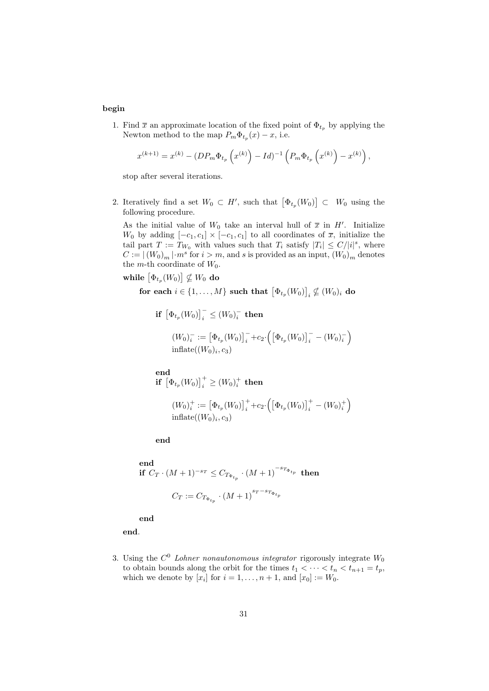#### begin

1. Find  $\bar{x}$  an approximate location of the fixed point of  $\Phi_{t_p}$  by applying the Newton method to the map  $P_m \Phi_{t_p}(x) - x$ , i.e.

$$
x^{(k+1)} = x^{(k)} - (DP_m \Phi_{t_p} (x^{(k)}) - Id)^{-1} (P_m \Phi_{t_p} (x^{(k)}) - x^{(k)}),
$$

stop after several iterations.

2. Iteratively find a set  $W_0 \subset H'$ , such that  $\left[\Phi_{t_p}(W_0)\right] \subset W_0$  using the following procedure.

As the initial value of  $W_0$  take an interval hull of  $\bar{x}$  in H'. Initialize  $W_0$  by adding  $[-c_1, c_1] \times [-c_1, c_1]$  to all coordinates of  $\overline{x}$ , initialize the tail part  $T := T_{W_0}$  with values such that  $T_i$  satisfy  $|T_i| \leq C/|i|^s$ , where  $C := |(W_0)_m| \cdot m^s$  for  $i > m$ , and s is provided as an input,  $(W_0)_m$  denotes the *m*-th coordinate of  $W_0$ .

while  $\left[\Phi_{t_p}(W_0)\right] \nsubseteq W_0$  do

for each  $i \in \{1, ..., M\}$  such that  $\left[\Phi_{t_p}(W_0)\right]_i \nsubseteq (W_0)_i$  do

if  $\left[\Phi_{t_p}(W_0)\right]_i^-\leq (W_0)_i^-\,$  then

$$
(W_0)^{-}_{i} := \left[\Phi_{t_p}(W_0)\right]_{i}^{-} + c_2 \cdot \left(\left[\Phi_{t_p}(W_0)\right]_{i}^{-} - (W_0)^{-}_{i}\right)
$$
  
inflate $((W_0)_{i}, c_3)$ 

end  $\textbf{if}\;\left[\Phi_{t_p}(W_0)\right]_i^+\geq (W_0)_i^+\;\textbf{then}$ 

$$
(W_0)_i^+ := \left[\Phi_{t_p}(W_0)\right]_i^+ + c_2 \cdot \left(\left[\Phi_{t_p}(W_0)\right]_i^+ - (W_0)_i^+\right)
$$
  
inflate $((W_0)_i, c_3)$ 

end

end if  $C_T \cdot (M+1)^{-s_T} \leq C_{T_{\Phi_{t_p}}} \cdot (M+1)^{-s_{T_{\Phi_{t_p}}}}$  then  $C_T := C_{T_{\Phi_{t_p}}} \cdot (M+1)^{s_T - s_{T_{\Phi_{t_p}}}}$ 

end

end.

3. Using the  $C^0$  Lohner nonautonomous integrator rigorously integrate  $W_0$ to obtain bounds along the orbit for the times  $t_1 < \cdots < t_n < t_{n+1} = t_p$ , which we denote by  $[x_i]$  for  $i = 1, ..., n + 1$ , and  $[x_0] := W_0$ .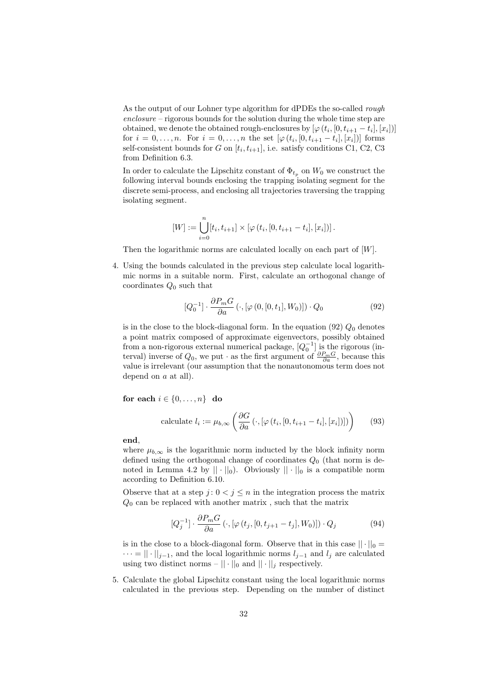As the output of our Lohner type algorithm for dPDEs the so-called rough enclosure – rigorous bounds for the solution during the whole time step are obtained, we denote the obtained rough-enclosures by  $[\varphi(t_i, [0, t_{i+1} - t_i], [x_i])]$ for  $i = 0, ..., n$ . For  $i = 0, ..., n$  the set  $[\varphi(t_i, [0, t_{i+1} - t_i], [x_i])]$  forms self-consistent bounds for G on  $[t_i, t_{i+1}]$ , i.e. satisfy conditions C1, C2, C3 from Definition 6.3.

In order to calculate the Lipschitz constant of  $\Phi_{t_p}$  on  $W_0$  we construct the following interval bounds enclosing the trapping isolating segment for the discrete semi-process, and enclosing all trajectories traversing the trapping isolating segment.

$$
[W] := \bigcup_{i=0}^{n} [t_i, t_{i+1}] \times [\varphi(t_i, [0, t_{i+1} - t_i], [x_i])].
$$

Then the logarithmic norms are calculated locally on each part of  $[W]$ .

4. Using the bounds calculated in the previous step calculate local logarithmic norms in a suitable norm. First, calculate an orthogonal change of coordinates  $Q_0$  such that

$$
[Q_0^{-1}]\cdot \frac{\partial P_m G}{\partial a}(\cdot,[\varphi(0,[0,t_1],W_0)])\cdot Q_0\tag{92}
$$

is in the close to the block-diagonal form. In the equation  $(92)$   $Q_0$  denotes a point matrix composed of approximate eigenvectors, possibly obtained from a non-rigorous external numerical package,  $[Q_0^{-1}]$  is the rigorous (interval) inverse of  $Q_0$ , we put  $\cdot$  as the first argument of  $\frac{\partial P_m G}{\partial a}$ , because this value is irrelevant (our assumption that the nonautonomous term does not depend on a at all).

for each  $i \in \{0, \ldots, n\}$  do

calculate 
$$
l_i := \mu_{b,\infty} \left( \frac{\partial G}{\partial a} \left( \cdot, [\varphi(t_i, [0, t_{i+1} - t_i], [x_i])]) \right) \right)
$$
 (93)

end,

where  $\mu_{b,\infty}$  is the logarithmic norm inducted by the block infinity norm defined using the orthogonal change of coordinates  $Q_0$  (that norm is denoted in Lemma 4.2 by  $|| \cdot ||_0$ . Obviously  $|| \cdot ||_0$  is a compatible norm according to Definition 6.10.

Observe that at a step  $j: 0 < j \leq n$  in the integration process the matrix  $Q_0$  can be replaced with another matrix, such that the matrix

$$
[Q_j^{-1}]\cdot \frac{\partial P_m G}{\partial a}\left(\cdot, [\varphi(t_j, [0, t_{j+1} - t_j], W_0)]) \cdot Q_j\right) \tag{94}
$$

is in the close to a block-diagonal form. Observe that in this case  $|| \cdot ||_0 =$  $\cdots = || \cdot ||_{j-1}$ , and the local logarithmic norms  $l_{j-1}$  and  $l_j$  are calculated using two distinct norms –  $|| \cdot ||_0$  and  $|| \cdot ||_i$  respectively.

5. Calculate the global Lipschitz constant using the local logarithmic norms calculated in the previous step. Depending on the number of distinct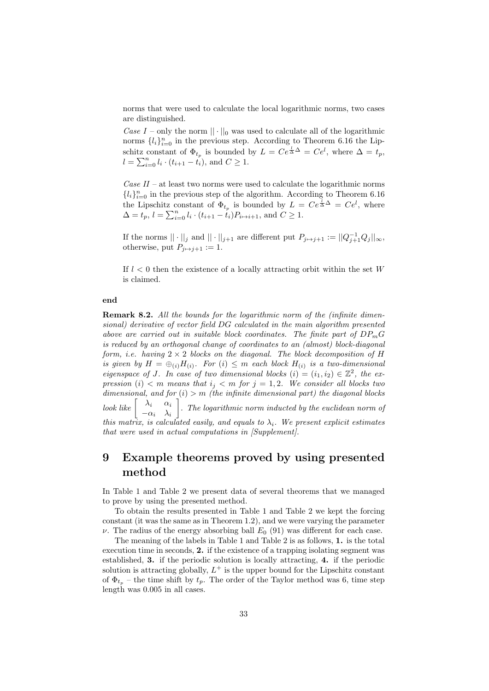norms that were used to calculate the local logarithmic norms, two cases are distinguished.

Case I – only the norm  $|| \cdot ||_0$  was used to calculate all of the logarithmic norms  $\{l_i\}_{i=0}^n$  in the previous step. According to Theorem 6.16 the Lipschitz constant of  $\Phi_{t_p}$  is bounded by  $L = Ce^{\frac{1}{\Delta}\Delta} = Ce^l$ , where  $\Delta = t_p$ ,  $l = \sum_{i=0}^{n} l_i \cdot (t_{i+1} - t_i)$ , and  $C \geq 1$ .

Case  $II$  – at least two norms were used to calculate the logarithmic norms  ${l_i}_{i=0}^n$  in the previous step of the algorithm. According to Theorem 6.16 the Lipschitz constant of  $\Phi_{t_p}$  is bounded by  $L = Ce^{\frac{1}{\Delta}\Delta} = Ce^l$ , where  $\Delta = t_p, l = \sum_{i=0}^n l_i \cdot (t_{i+1} - t_i) P_{i \mapsto i+1}$ , and  $C \ge 1$ .

If the norms  $|| \cdot ||_j$  and  $|| \cdot ||_{j+1}$  are different put  $P_{j \mapsto j+1} := ||Q_{j+1}^{-1}Q_j||_{\infty}$ , otherwise, put  $P_{i\mapsto j+1} := 1$ .

If  $l < 0$  then the existence of a locally attracting orbit within the set W is claimed.

#### end

**Remark 8.2.** All the bounds for the logarithmic norm of the (infinite dimensional) derivative of vector field DG calculated in the main algorithm presented above are carried out in suitable block coordinates. The finite part of  $DP_mG$ is reduced by an orthogonal change of coordinates to an (almost) block-diagonal form, i.e. having  $2 \times 2$  blocks on the diagonal. The block decomposition of H is given by  $H = \bigoplus_{(i)} H_{(i)}$ . For  $(i) \leq m$  each block  $H_{(i)}$  is a two-dimensional eigenspace of J. In case of two dimensional blocks  $(i) = (i_1, i_2) \in \mathbb{Z}^2$ , the expression (i)  $\langle m \rangle$  means that  $i_j \langle m \rangle$  for  $j = 1, 2$ . We consider all blocks two dimensional, and for  $(i) > m$  (the infinite dimensional part) the diagonal blocks look like  $\begin{bmatrix} \lambda_i & \alpha_i \end{bmatrix}$  $-\alpha_i \quad \lambda_i$  $\big]$ . The logarithmic norm inducted by the euclidean norm of this matrix, is calculated easily, and equals to  $\lambda_i$ . We present explicit estimates that were used in actual computations in [Supplement].

# 9 Example theorems proved by using presented method

In Table 1 and Table 2 we present data of several theorems that we managed to prove by using the presented method.

To obtain the results presented in Table 1 and Table 2 we kept the forcing constant (it was the same as in Theorem 1.2), and we were varying the parameter  $\nu$ . The radius of the energy absorbing ball  $E_0$  (91) was different for each case.

The meaning of the labels in Table 1 and Table 2 is as follows, 1. is the total execution time in seconds, 2. if the existence of a trapping isolating segment was established, 3. if the periodic solution is locally attracting, 4. if the periodic solution is attracting globally,  $L^+$  is the upper bound for the Lipschitz constant of  $\Phi_{t_p}$  – the time shift by  $t_p$ . The order of the Taylor method was 6, time step length was 0.005 in all cases.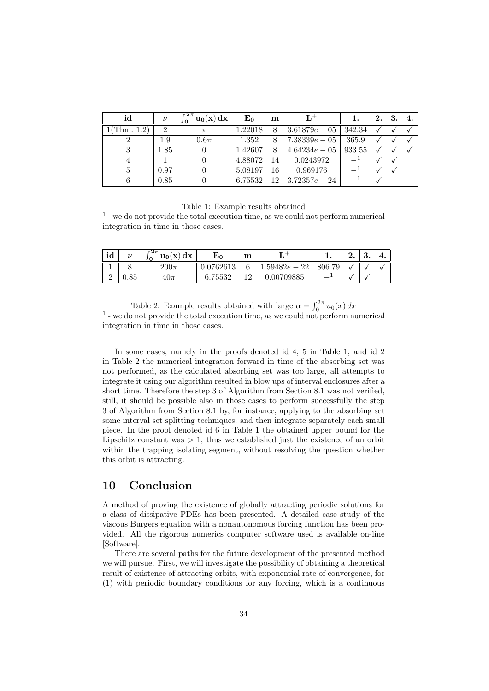| id          | $\nu$    | $c2\pi$<br>$\mathbf{u_0}(\mathbf{x}) \, \mathbf{dx}$ | $E_0$   | $\mathbf m$     | $L^+$           |        | 2. | 3. |  |
|-------------|----------|------------------------------------------------------|---------|-----------------|-----------------|--------|----|----|--|
| 1(Thm. 1.2) | $\Omega$ | $\pi$                                                | 1.22018 | 8               | $3.61879e - 05$ | 342.34 |    |    |  |
|             | 1.9      | $0.6\pi$                                             | 1.352   | 8               | $7.38339e - 05$ | 365.9  |    |    |  |
|             | $1.85\,$ |                                                      | 1.42607 | 8               | $4.64234e - 05$ | 933.55 |    |    |  |
|             |          |                                                      | 4.88072 | 14              | 0.0243972       |        |    |    |  |
|             | 0.97     |                                                      | 5.08197 | 16              | 0.969176        |        |    |    |  |
|             | 0.85     |                                                      | 6.75532 | 12 <sub>1</sub> | $3.72357e + 24$ |        |    |    |  |

#### Table 1: Example results obtained

1 - we do not provide the total execution time, as we could not perform numerical integration in time in those cases.

| $^{\bullet}$ 1<br>ıd | $\mathbf{z}$ | $c \angle \pi$<br>dx<br>$\mathbf{u_0}(\mathbf{x})$<br>Jθ | т.,<br>L0           | m           |                 |            | ົ<br>٠. | ച<br>υ, | 4. |
|----------------------|--------------|----------------------------------------------------------|---------------------|-------------|-----------------|------------|---------|---------|----|
| <b>.</b>             |              | $200\pi$                                                 | 1762613             | $\sim$<br>0 | 1.59482e<br>ഹ   | 806.<br>70 |         |         |    |
| $\Omega$<br>↵        | QE<br>U.OƏ   | $40\pi$                                                  | 75599<br>$\epsilon$ | 1 ດ<br>∸    | 0709885<br>. ೧೯ |            |         |         |    |

Table 2: Example results obtained with large  $\alpha = \int_0^{2\pi} u_0(x) dx$ 1 - we do not provide the total execution time, as we could not perform numerical integration in time in those cases.

In some cases, namely in the proofs denoted id 4, 5 in Table 1, and id 2 in Table 2 the numerical integration forward in time of the absorbing set was not performed, as the calculated absorbing set was too large, all attempts to integrate it using our algorithm resulted in blow ups of interval enclosures after a short time. Therefore the step 3 of Algorithm from Section 8.1 was not verified, still, it should be possible also in those cases to perform successfully the step 3 of Algorithm from Section 8.1 by, for instance, applying to the absorbing set some interval set splitting techniques, and then integrate separately each small piece. In the proof denoted id 6 in Table 1 the obtained upper bound for the Lipschitz constant was  $> 1$ , thus we established just the existence of an orbit within the trapping isolating segment, without resolving the question whether this orbit is attracting.

# 10 Conclusion

A method of proving the existence of globally attracting periodic solutions for a class of dissipative PDEs has been presented. A detailed case study of the viscous Burgers equation with a nonautonomous forcing function has been provided. All the rigorous numerics computer software used is available on-line [Software].

There are several paths for the future development of the presented method we will pursue. First, we will investigate the possibility of obtaining a theoretical result of existence of attracting orbits, with exponential rate of convergence, for (1) with periodic boundary conditions for any forcing, which is a continuous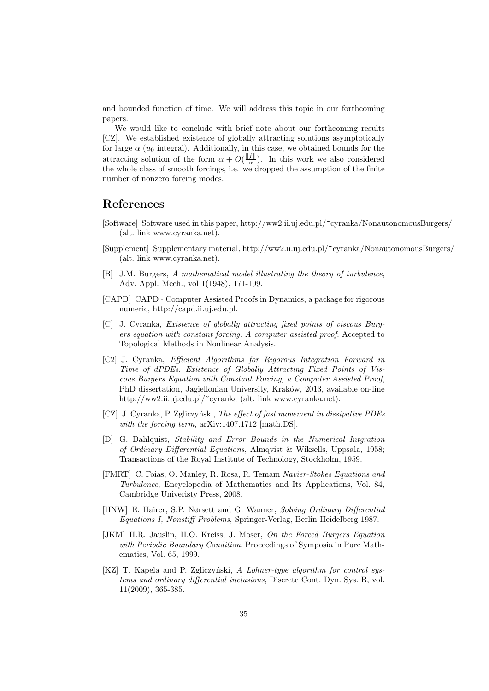and bounded function of time. We will address this topic in our forthcoming papers.

We would like to conclude with brief note about our forthcoming results [CZ]. We established existence of globally attracting solutions asymptotically for large  $\alpha$  ( $u_0$  integral). Additionally, in this case, we obtained bounds for the attracting solution of the form  $\alpha + O(\frac{\|f\|}{\alpha})$  $\frac{J\parallel}{\alpha}$ ). In this work we also considered the whole class of smooth forcings, i.e. we dropped the assumption of the finite number of nonzero forcing modes.

## References

- [Software] Software used in this paper, http://ww2.ii.uj.edu.pl/~cyranka/NonautonomousBurgers/ (alt. link www.cyranka.net).
- [Supplement] Supplementary material, http://ww2.ii.uj.edu.pl/~cyranka/NonautonomousBurgers/ (alt. link www.cyranka.net).
- [B] J.M. Burgers, A mathematical model illustrating the theory of turbulence, Adv. Appl. Mech., vol 1(1948), 171-199.
- [CAPD] CAPD Computer Assisted Proofs in Dynamics, a package for rigorous numeric, http://capd.ii.uj.edu.pl.
- [C] J. Cyranka, Existence of globally attracting fixed points of viscous Burgers equation with constant forcing. A computer assisted proof. Accepted to Topological Methods in Nonlinear Analysis.
- [C2] J. Cyranka, Efficient Algorithms for Rigorous Integration Forward in Time of dPDEs. Existence of Globally Attracting Fixed Points of Viscous Burgers Equation with Constant Forcing, a Computer Assisted Proof, PhD dissertation, Jagiellonian University, Kraków, 2013, available on-line http://ww2.ii.uj.edu.pl/~cyranka (alt. link www.cyranka.net).
- [CZ] J. Cyranka, P. Zgliczyński, The effect of fast movement in dissipative PDEs with the forcing term,  $arXiv:1407.1712$  [math.DS].
- [D] G. Dahlquist, Stability and Error Bounds in the Numerical Intgration of Ordinary Differential Equations, Almqvist & Wiksells, Uppsala, 1958; Transactions of the Royal Institute of Technology, Stockholm, 1959.
- [FMRT] C. Foias, O. Manley, R. Rosa, R. Temam Navier-Stokes Equations and Turbulence, Encyclopedia of Mathematics and Its Applications, Vol. 84, Cambridge Univeristy Press, 2008.
- [HNW] E. Hairer, S.P. Nørsett and G. Wanner, Solving Ordinary Differential Equations I, Nonstiff Problems, Springer-Verlag, Berlin Heidelberg 1987.
- [JKM] H.R. Jauslin, H.O. Kreiss, J. Moser, On the Forced Burgers Equation with Periodic Boundary Condition, Proceedings of Symposia in Pure Mathematics, Vol. 65, 1999.
- [KZ] T. Kapela and P. Zgliczyński, A Lohner-type algorithm for control systems and ordinary differential inclusions, Discrete Cont. Dyn. Sys. B, vol. 11(2009), 365-385.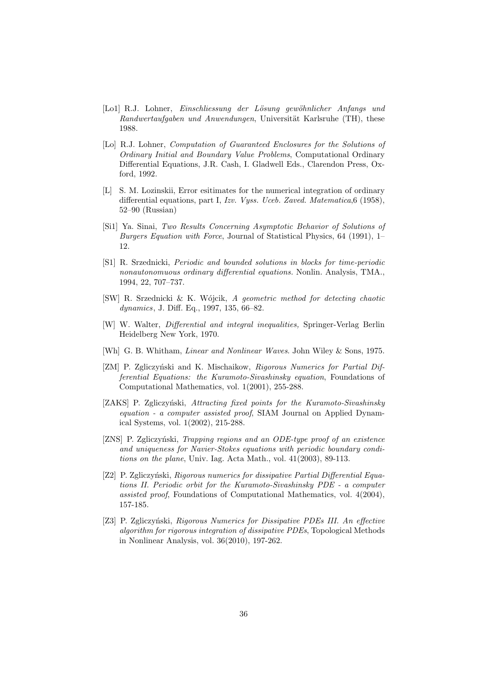- [Lo1] R.J. Lohner, Einschliessung der Lösung gewöhnlicher Anfangs und Randwertaufgaben und Anwendungen, Universität Karlsruhe (TH), these 1988.
- [Lo] R.J. Lohner, Computation of Guaranteed Enclosures for the Solutions of Ordinary Initial and Boundary Value Problems, Computational Ordinary Differential Equations, J.R. Cash, I. Gladwell Eds., Clarendon Press, Oxford, 1992.
- [L] S. M. Lozinskii, Error esitimates for the numerical integration of ordinary differential equations, part I, Izv. Vyss. Uceb. Zaved. Matematica, 6 (1958), 52–90 (Russian)
- [Si1] Ya. Sinai, Two Results Concerning Asymptotic Behavior of Solutions of Burgers Equation with Force, Journal of Statistical Physics, 64 (1991), 1– 12.
- [S1] R. Srzednicki, Periodic and bounded solutions in blocks for time-periodic nonautonomuous ordinary differential equations. Nonlin. Analysis, TMA., 1994, 22, 707–737.
- [SW] R. Srzednicki & K. Wójcik, A geometric method for detecting chaotic dynamics, J. Diff. Eq., 1997, 135, 66–82.
- [W] W. Walter, Differential and integral inequalities, Springer-Verlag Berlin Heidelberg New York, 1970.
- [Wh] G. B. Whitham, *Linear and Nonlinear Waves*. John Wiley & Sons, 1975.
- [ZM] P. Zgliczyński and K. Mischaikow, Rigorous Numerics for Partial Differential Equations: the Kuramoto-Sivashinsky equation, Foundations of Computational Mathematics, vol. 1(2001), 255-288.
- [ZAKS] P. Zgliczyński, Attracting fixed points for the Kuramoto-Sivashinsky equation - a computer assisted proof, SIAM Journal on Applied Dynamical Systems, vol. 1(2002), 215-288.
- [ZNS] P. Zgliczyński, *Trapping regions and an ODE-type proof of an existence* and uniqueness for Navier-Stokes equations with periodic boundary conditions on the plane, Univ. Iag. Acta Math., vol. 41(2003), 89-113.
- [Z2] P. Zgliczyński, Rigorous numerics for dissipative Partial Differential Equations II. Periodic orbit for the Kuramoto-Sivashinsky PDE - a computer assisted proof, Foundations of Computational Mathematics, vol. 4(2004), 157-185.
- [Z3] P. Zgliczyński, Rigorous Numerics for Dissipative PDEs III. An effective algorithm for rigorous integration of dissipative PDEs, Topological Methods in Nonlinear Analysis, vol. 36(2010), 197-262.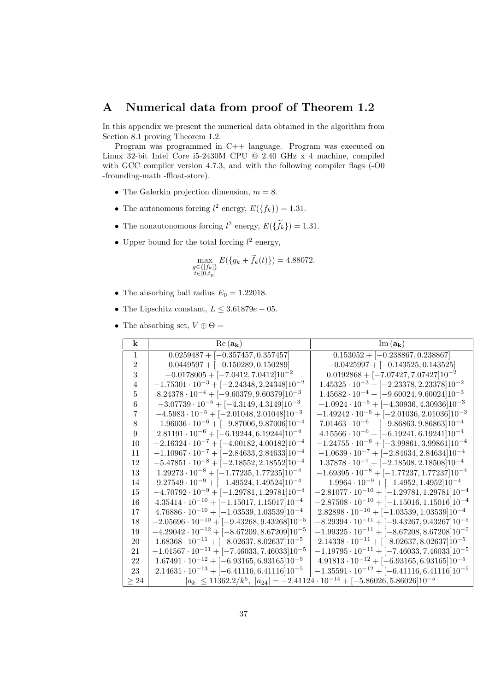# A Numerical data from proof of Theorem 1.2

In this appendix we present the numerical data obtained in the algorithm from Section 8.1 proving Theorem 1.2.

Program was programmed in C++ language. Program was executed on Linux 32-bit Intel Core i5-2430M CPU @ 2.40 GHz x 4 machine, compiled with GCC compiler version 4.7.3, and with the following compiler flags (-O0 -frounding-math -ffloat-store).

- The Galerkin projection dimension,  $m = 8$ .
- The autonomous forcing  $l^2$  energy,  $E({f_k}) = 1.31$ .
- The nonautonomous forcing  $l^2$  energy,  $E(\{\tilde{f}_k\}) = 1.31$ .
- Upper bound for the total forcing  $l^2$  energy,

$$
\max_{\substack{g \in \{[f_k]\} \\ t \in [0, t_p]}} E(\{g_k + \tilde{f}_k(t)\}) = 4.88072.
$$

- The absorbing ball radius  $E_0 = 1.22018$ .
- The Lipschitz constant,  $L \leq 3.61879e 05$ .
- The absorbing set,  $V \oplus \Theta =$

| $\bf k$        | $Re(a_{\mathbf{k}})$                                   | $\text{Im}(\mathbf{a_k})$                                                                   |
|----------------|--------------------------------------------------------|---------------------------------------------------------------------------------------------|
| $\mathbf{1}$   | $0.0259487 + [-0.357457, 0.357457]$                    | $\boxed{0.153052 + [-0.238867, 0.238867]}$                                                  |
| $\overline{2}$ | $0.0449597 + [-0.150289, 0.150289]$                    | $-0.0425997 + [-0.143525, 0.143525]$                                                        |
| 3              | $-0.0178005 + [-7.0412, 7.0412]10^{-2}$                | $0.0192868 + [-7.07427, 7.07427]10^{-2}$                                                    |
| 4              | $-1.75301 \cdot 10^{-3} + [-2.24348, 2.24348]10^{-2}$  | $1.45325 \cdot 10^{-3} + [-2.23378, 2.23378]10^{-2}$                                        |
| 5              | $8.24378 \cdot 10^{-4} + [-9.60379, 9.60379]10^{-3}$   | $1.45682 \cdot 10^{-4} + [-9.60024, 9.60024]10^{-3}$                                        |
| 6              | $-3.07739 \cdot 10^{-5} + [-4.3149, 4.3149]10^{-3}$    | $-1.0924 \cdot 10^{-5} + [-4.30936, 4.30936]10^{-3}$                                        |
| 7              | $-4.5983 \cdot 10^{-5} + [-2.01048, 2.01048]10^{-3}$   | $-1.49242 \cdot 10^{-5} + [-2.01036, 2.01036]10^{-3}$                                       |
| 8              | $-1.96036 \cdot 10^{-6} + [-9.87006, 9.87006]10^{-4}$  | $7.01463 \cdot 10^{-6} + [-9.86863, 9.86863]10^{-4}$                                        |
| 9              | $2.81191 \cdot 10^{-6} + [-6.19244, 6.19244]10^{-4}$   | $4.15566 \cdot 10^{-6} + [-6.19241, 6.19241]10^{-4}$                                        |
| 10             | $-2.16324 \cdot 10^{-7} + [-4.00182, 4.00182]10^{-4}$  | $-1.24755 \cdot 10^{-6} + [-3.99861, 3.99861]10^{-4}$                                       |
| 11             | $-1.10967 \cdot 10^{-7} + [-2.84633, 2.84633]10^{-4}$  | $-1.0639 \cdot 10^{-7} + [-2.84634, 2.84634]10^{-4}$                                        |
| 12             | $-5.47851 \cdot 10^{-8} + [-2.18552, 2.18552]10^{-4}$  | $1.37878 \cdot 10^{-7} + [-2.18508, 2.18508]10^{-4}$                                        |
| 13             | $1.29273 \cdot 10^{-8} + [-1.77235, 1.77235]10^{-4}$   | $-1.69395 \cdot 10^{-8} + [-1.77237, 1.77237]10^{-4}$                                       |
| 14             | $9.27549 \cdot 10^{-9} + [-1.49524, 1.49524]10^{-4}$   | $-1.9964 \cdot 10^{-9} + [-1.4952, 1.4952]10^{-4}$                                          |
| 15             | $-4.70792 \cdot 10^{-9} + [-1.29781, 1.29781]10^{-4}$  | $-2.81077 \cdot 10^{-10} + [-1.29781, 1.29781]10^{-4}$                                      |
| 16             | $4.35414 \cdot 10^{-10} + [-1.15017, 1.15017]10^{-4}$  | $-2.87508 \cdot 10^{-10} + [-1.15016, 1.15016]10^{-4}$                                      |
| 17             | $4.76886 \cdot 10^{-10} + [-1.03539, 1.03539]10^{-4}$  | $2.82898 \cdot 10^{-10} + [-1.03539, 1.03539]10^{-4}$                                       |
| 18             | $-2.05696 \cdot 10^{-10} + [-9.43268, 9.43268]10^{-5}$ | $-8.29394 \cdot 10^{-11} + [-9.43267, 9.43267]10^{-5}$                                      |
| 19             | $-4.29042 \cdot 10^{-12} + [-8.67209, 8.67209]10^{-5}$ | $-1.99325 \cdot 10^{-11} + [-8.67208, 8.67208]10^{-5}$                                      |
| 20             | $1.68368 \cdot 10^{-11} + [-8.02637, 8.02637]10^{-5}$  | $2.14338 \cdot 10^{-11} + [-8.02637, 8.02637]10^{-5}$                                       |
| 21             | $-1.01567 \cdot 10^{-11} + [-7.46033, 7.46033]10^{-5}$ | $-1.19795 \cdot 10^{-11} + [-7.46033, 7.46033]10^{-5}$                                      |
| 22             | $1.67491 \cdot 10^{-12} + [-6.93165, 6.93165]10^{-5}$  | $4.91813 \cdot 10^{-12} + [-6.93165, 6.93165]10^{-5}$                                       |
| 23             | $2.14631 \cdot 10^{-13} + [-6.41116, 6.41116]10^{-5}$  | $-1.35591 \cdot 10^{-12} + [-6.41116, 6.41116]10^{-5}$                                      |
| $\geq 24$      |                                                        | $ a_k  \le 11362.2/k^5$ , $ a_{24}  = -2.41124 \cdot 10^{-14} + [-5.86026, 5.86026]10^{-5}$ |